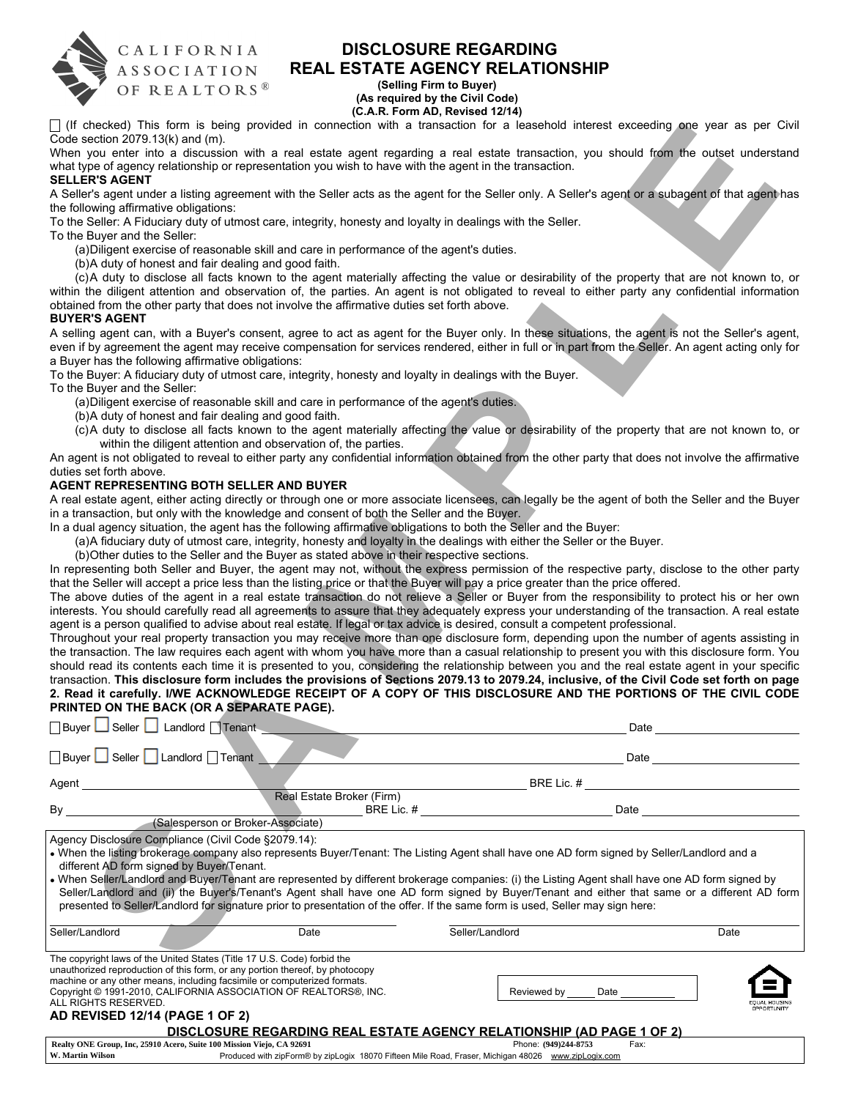

# DISCLOSURE REGARDING REAL ESTATE AGENCY RELATIONSHIP

(Selling Firm to Buyer) (As required by the Civil Code)

(C.A.R. Form AD, Revised 12/14)

## SELLER'S AGENT

### BUYER'S AGENT

- (a)Diligent exercise of reasonable skill and care in performance of the agent's duties.
- (b)A duty of honest and fair dealing and good faith.
- (c)A duty to disclose all facts known to the agent materially affecting the value or desirability of the property that are not known to, or within the diligent attention and observation of, the parties.

## AGENT REPRESENTING BOTH SELLER AND BUYER

|                                                                              |                                                                                                                                | (If checked) This form is being provided in connection with a transaction for a leasehold interest exceeding one year as per Civil                                                                                                                                                                |      |
|------------------------------------------------------------------------------|--------------------------------------------------------------------------------------------------------------------------------|---------------------------------------------------------------------------------------------------------------------------------------------------------------------------------------------------------------------------------------------------------------------------------------------------|------|
| Code section $2079.13(k)$ and (m).                                           |                                                                                                                                |                                                                                                                                                                                                                                                                                                   |      |
|                                                                              | what type of agency relationship or representation you wish to have with the agent in the transaction.                         | When you enter into a discussion with a real estate agent regarding a real estate transaction, you should from the outset understand                                                                                                                                                              |      |
| <b>SELLER'S AGENT</b>                                                        |                                                                                                                                |                                                                                                                                                                                                                                                                                                   |      |
|                                                                              |                                                                                                                                | A Seller's agent under a listing agreement with the Seller acts as the agent for the Seller only. A Seller's agent or a subagent of that agent has                                                                                                                                                |      |
| the following affirmative obligations:                                       |                                                                                                                                |                                                                                                                                                                                                                                                                                                   |      |
|                                                                              | To the Seller: A Fiduciary duty of utmost care, integrity, honesty and loyalty in dealings with the Seller.                    |                                                                                                                                                                                                                                                                                                   |      |
| To the Buyer and the Seller:                                                 |                                                                                                                                |                                                                                                                                                                                                                                                                                                   |      |
|                                                                              | (a) Diligent exercise of reasonable skill and care in performance of the agent's duties.                                       |                                                                                                                                                                                                                                                                                                   |      |
| (b)A duty of honest and fair dealing and good faith.                         |                                                                                                                                | (c)A duty to disclose all facts known to the agent materially affecting the value or desirability of the property that are not known to, or                                                                                                                                                       |      |
|                                                                              |                                                                                                                                | within the diligent attention and observation of, the parties. An agent is not obligated to reveal to either party any confidential information                                                                                                                                                   |      |
|                                                                              | obtained from the other party that does not involve the affirmative duties set forth above.                                    |                                                                                                                                                                                                                                                                                                   |      |
| <b>BUYER'S AGENT</b>                                                         |                                                                                                                                |                                                                                                                                                                                                                                                                                                   |      |
|                                                                              |                                                                                                                                | A selling agent can, with a Buyer's consent, agree to act as agent for the Buyer only. In these situations, the agent is not the Seller's agent,                                                                                                                                                  |      |
|                                                                              |                                                                                                                                | even if by agreement the agent may receive compensation for services rendered, either in full or in part from the Seller. An agent acting only for                                                                                                                                                |      |
| a Buyer has the following affirmative obligations:                           |                                                                                                                                |                                                                                                                                                                                                                                                                                                   |      |
| To the Buyer and the Seller:                                                 | To the Buyer: A fiduciary duty of utmost care, integrity, honesty and loyalty in dealings with the Buyer.                      |                                                                                                                                                                                                                                                                                                   |      |
|                                                                              | (a) Diligent exercise of reasonable skill and care in performance of the agent's duties.                                       |                                                                                                                                                                                                                                                                                                   |      |
| (b)A duty of honest and fair dealing and good faith.                         |                                                                                                                                |                                                                                                                                                                                                                                                                                                   |      |
|                                                                              |                                                                                                                                | (c)A duty to disclose all facts known to the agent materially affecting the value or desirability of the property that are not known to, or                                                                                                                                                       |      |
|                                                                              | within the diligent attention and observation of, the parties.                                                                 |                                                                                                                                                                                                                                                                                                   |      |
|                                                                              |                                                                                                                                | An agent is not obligated to reveal to either party any confidential information obtained from the other party that does not involve the affirmative                                                                                                                                              |      |
| duties set forth above.                                                      |                                                                                                                                |                                                                                                                                                                                                                                                                                                   |      |
| AGENT REPRESENTING BOTH SELLER AND BUYER                                     |                                                                                                                                | A real estate agent, either acting directly or through one or more associate licensees, can legally be the agent of both the Seller and the Buyer                                                                                                                                                 |      |
|                                                                              | in a transaction, but only with the knowledge and consent of both the Seller and the Buyer.                                    |                                                                                                                                                                                                                                                                                                   |      |
|                                                                              | In a dual agency situation, the agent has the following affirmative obligations to both the Seller and the Buyer:              |                                                                                                                                                                                                                                                                                                   |      |
|                                                                              | (a)A fiduciary duty of utmost care, integrity, honesty and loyalty in the dealings with either the Seller or the Buyer.        |                                                                                                                                                                                                                                                                                                   |      |
|                                                                              | (b) Other duties to the Seller and the Buyer as stated above in their respective sections.                                     |                                                                                                                                                                                                                                                                                                   |      |
|                                                                              |                                                                                                                                | In representing both Seller and Buyer, the agent may not, without the express permission of the respective party, disclose to the other party                                                                                                                                                     |      |
|                                                                              |                                                                                                                                | that the Seller will accept a price less than the listing price or that the Buyer will pay a price greater than the price offered.                                                                                                                                                                |      |
|                                                                              |                                                                                                                                | The above duties of the agent in a real estate transaction do not relieve a Seller or Buyer from the responsibility to protect his or her own                                                                                                                                                     |      |
|                                                                              |                                                                                                                                | interests. You should carefully read all agreements to assure that they adequately express your understanding of the transaction. A real estate<br>agent is a person qualified to advise about real estate. If legal or tax advice is desired, consult a competent professional.                  |      |
|                                                                              |                                                                                                                                | Throughout your real property transaction you may receive more than one disclosure form, depending upon the number of agents assisting in                                                                                                                                                         |      |
|                                                                              |                                                                                                                                | the transaction. The law requires each agent with whom you have more than a casual relationship to present you with this disclosure form. You                                                                                                                                                     |      |
|                                                                              |                                                                                                                                | should read its contents each time it is presented to you, considering the relationship between you and the real estate agent in your specific                                                                                                                                                    |      |
|                                                                              |                                                                                                                                | transaction. This disclosure form includes the provisions of Sections 2079.13 to 2079.24, inclusive, of the Civil Code set forth on page                                                                                                                                                          |      |
|                                                                              |                                                                                                                                | 2. Read it carefully. I/WE ACKNOWLEDGE RECEIPT OF A COPY OF THIS DISCLOSURE AND THE PORTIONS OF THE CIVIL CODE                                                                                                                                                                                    |      |
| PRINTED ON THE BACK (OR A SEPARATE PAGE).                                    |                                                                                                                                |                                                                                                                                                                                                                                                                                                   |      |
| Buyer Seller Landlord Tenant                                                 |                                                                                                                                | Date                                                                                                                                                                                                                                                                                              |      |
|                                                                              |                                                                                                                                |                                                                                                                                                                                                                                                                                                   |      |
| Buyer Seller Landlord Tenant                                                 |                                                                                                                                |                                                                                                                                                                                                                                                                                                   |      |
| Agent                                                                        |                                                                                                                                |                                                                                                                                                                                                                                                                                                   |      |
|                                                                              | Real Estate Broker (Firm)                                                                                                      |                                                                                                                                                                                                                                                                                                   |      |
| By                                                                           |                                                                                                                                | BRE Lic. $\#$                                                                                                                                                                                                                                                                                     |      |
|                                                                              | (Salesperson or Broker-Associate)                                                                                              |                                                                                                                                                                                                                                                                                                   |      |
| Agency Disclosure Compliance (Civil Code §2079.14):                          |                                                                                                                                |                                                                                                                                                                                                                                                                                                   |      |
|                                                                              |                                                                                                                                | . When the listing brokerage company also represents Buyer/Tenant: The Listing Agent shall have one AD form signed by Seller/Landlord and a                                                                                                                                                       |      |
| different AD form signed by Buyer/Tenant.                                    |                                                                                                                                |                                                                                                                                                                                                                                                                                                   |      |
|                                                                              |                                                                                                                                | • When Seller/Landlord and Buyer/Tenant are represented by different brokerage companies: (i) the Listing Agent shall have one AD form signed by<br>Seller/Landlord and (ii) the Buyer's/Tenant's Agent shall have one AD form signed by Buyer/Tenant and either that same or a different AD form |      |
|                                                                              | presented to Seller/Landlord for signature prior to presentation of the offer. If the same form is used, Seller may sign here: |                                                                                                                                                                                                                                                                                                   |      |
|                                                                              |                                                                                                                                |                                                                                                                                                                                                                                                                                                   |      |
| Seller/Landlord                                                              | Date                                                                                                                           | Seller/Landlord                                                                                                                                                                                                                                                                                   | Date |
| The copyright laws of the United States (Title 17 U.S. Code) forbid the      |                                                                                                                                |                                                                                                                                                                                                                                                                                                   |      |
| unauthorized reproduction of this form, or any portion thereof, by photocopy |                                                                                                                                |                                                                                                                                                                                                                                                                                                   |      |
| machine or any other means, including facsimile or computerized formats.     |                                                                                                                                |                                                                                                                                                                                                                                                                                                   |      |
| ALL RIGHTS RESERVED.                                                         | Copyright © 1991-2010, CALIFORNIA ASSOCIATION OF REALTORS®, INC.                                                               | Reviewed by<br>Date                                                                                                                                                                                                                                                                               |      |
| AD REVISED 12/14 (PAGE 1 OF 2)                                               |                                                                                                                                |                                                                                                                                                                                                                                                                                                   |      |
|                                                                              |                                                                                                                                | <b>DISCLOSURE REGARDING REAL ESTATE AGENCY RELATIONSHIP (AD PAGE 1 OF 2)</b>                                                                                                                                                                                                                      |      |
| Realty ONE Group, Inc, 25910 Acero, Suite 100 Mission Viejo, CA 92691        |                                                                                                                                | Phone: (949)244-8753<br>Fax:                                                                                                                                                                                                                                                                      |      |

| Really Only Group, they above needs, built 100 mission viego, CA 74071 |                                                                                                     | $\sim$ 0.75. |
|------------------------------------------------------------------------|-----------------------------------------------------------------------------------------------------|--------------|
| W. Martin Wilson                                                       | Produced with zipForm® by zipLogix 18070 Fifteen Mile Road, Fraser, Michigan 48026 www.zipLogix.com |              |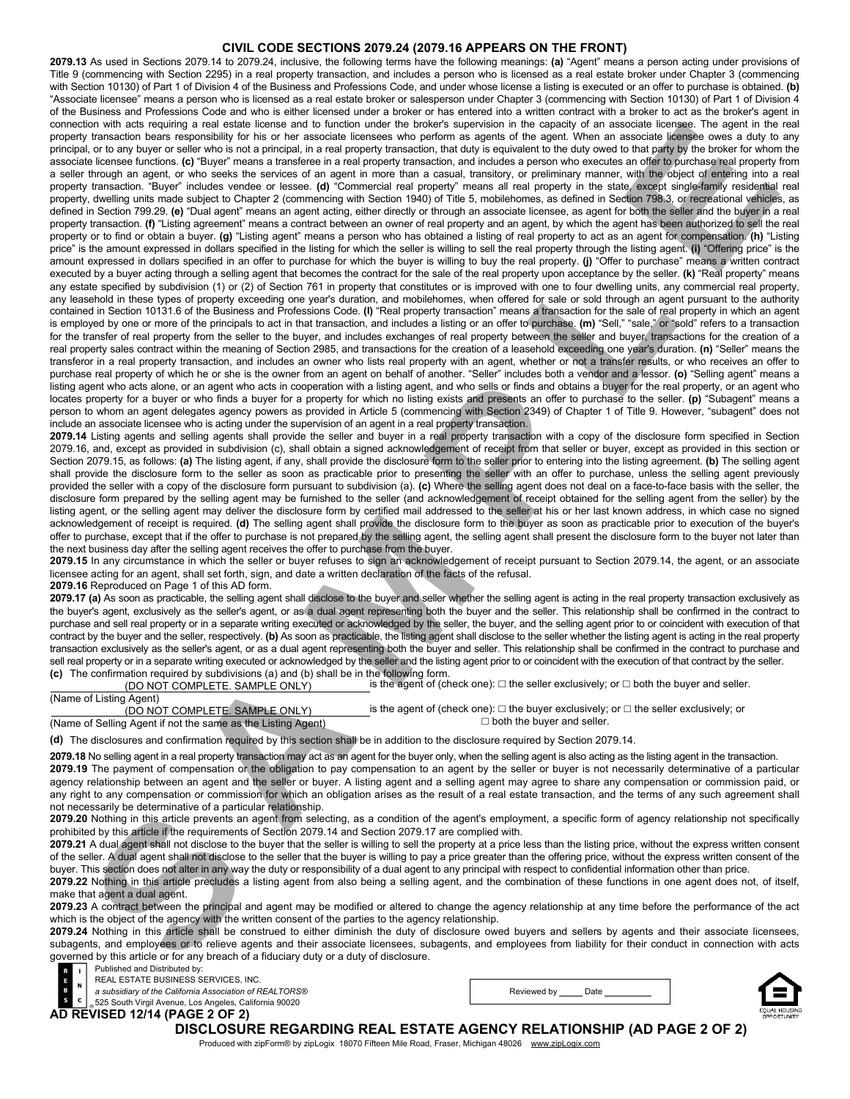### CIVIL CODE SECTIONS 2079.24 (2079.16 APPEARS ON THE FRONT)

The solid at the solid at the solid at the solid at the solid at the solid at the solid at the solid at the solid at the solid at the solid at the solid at the solid at the solid at the solid at the solid at the solid at 2079.13 As used in Sections 2079.14 to 2079.24, inclusive, the following terms have the following meanings: (a) "Agent" means a person acting under provisions of Title 9 (commencing with Section 2295) in a real property transaction, and includes a person who is licensed as a real estate broker under Chapter 3 (commencing with Section 10130) of Part 1 of Division 4 of the Business and Professions Code, and under whose license a listing is executed or an offer to purchase is obtained. (b) "Associate licensee" means a person who is licensed as a real estate broker or salesperson under Chapter 3 (commencing with Section 10130) of Part 1 of Division 4 of the Business and Professions Code and who is either licensed under a broker or has entered into a written contract with a broker to act as the broker's agent in connection with acts requiring a real estate license and to function under the broker's supervision in the capacity of an associate licensee. The agent in the real property transaction bears responsibility for his or her associate licensees who perform as agents of the agent. When an associate licensee owes a duty to any principal, or to any buyer or seller who is not a principal, in a real property transaction, that duty is equivalent to the duty owed to that party by the broker for whom the associate licensee functions. (c) "Buyer" means a transferee in a real property transaction, and includes a person who executes an offer to purchase real property from a seller through an agent, or who seeks the services of an agent in more than a casual, transitory, or preliminary manner, with the object of entering into a real property transaction. "Buyer" includes vendee or lessee. (d) "Commercial real property" means all real property in the state, except single-family residential real property, dwelling units made subject to Chapter 2 (commencing with Section 1940) of Title 5, mobilehomes, as defined in Section 798.3, or recreational vehicles, as defined in Section 799.29. (e) "Dual agent" means an agent acting, either directly or through an associate licensee, as agent for both the seller and the buyer in a real property transaction. (f) "Listing agreement" means a contract between an owner of real property and an agent, by which the agent has been authorized to sell the real property or to find or obtain a buyer. (g) "Listing agent" means a person who has obtained a listing of real property to act as an agent for compensation. (h) "Listing price" is the amount expressed in dollars specified in the listing for which the seller is willing to sell the real property through the listing agent. (i) "Offering price" is the amount expressed in dollars specified in an offer to purchase for which the buyer is willing to buy the real property. (j) "Offer to purchase" means a written contract executed by a buyer acting through a selling agent that becomes the contract for the sale of the real property upon acceptance by the seller. (k) "Real property" means any estate specified by subdivision (1) or (2) of Section 761 in property that constitutes or is improved with one to four dwelling units, any commercial real property, any leasehold in these types of property exceeding one year's duration, and mobilehomes, when offered for sale or sold through an agent pursuant to the authority contained in Section 10131.6 of the Business and Professions Code. (l) "Real property transaction" means a transaction for the sale of real property in which an agent is employed by one or more of the principals to act in that transaction, and includes a listing or an offer to purchase. (m) "Sell," "sale," or "sold" refers to a transaction for the transfer of real property from the seller to the buyer, and includes exchanges of real property between the seller and buyer, transactions for the creation of a real property sales contract within the meaning of Section 2985, and transactions for the creation of a leasehold exceeding one year's duration. (n) "Seller" means the transferor in a real property transaction, and includes an owner who lists real property with an agent, whether or not a transfer results, or who receives an offer to purchase real property of which he or she is the owner from an agent on behalf of another. "Seller" includes both a vendor and a lessor. (o) "Selling agent" means a listing agent who acts alone, or an agent who acts in cooperation with a listing agent, and who sells or finds and obtains a buyer for the real property, or an agent who locates property for a buyer or who finds a buyer for a property for which no listing exists and presents an offer to purchase to the seller. (p) "Subagent" means a person to whom an agent delegates agency powers as provided in Article 5 (commencing with Section 2349) of Chapter 1 of Title 9. However, "subagent" does not include an associate licensee who is acting under the supervision of an agent in a real property transaction.

2079.14 Listing agents and selling agents shall provide the seller and buyer in a real property transaction with a copy of the disclosure form specified in Section 2079.16, and, except as provided in subdivision (c), shall obtain a signed acknowledgement of receipt from that seller or buyer, except as provided in this section or Section 2079.15, as follows: (a) The listing agent, if any, shall provide the disclosure form to the seller prior to entering into the listing agreement. (b) The selling agent shall provide the disclosure form to the seller as soon as practicable prior to presenting the seller with an offer to purchase, unless the selling agent previously provided the seller with a copy of the disclosure form pursuant to subdivision (a). (c) Where the selling agent does not deal on a face-to-face basis with the seller, the disclosure form prepared by the selling agent may be furnished to the seller (and acknowledgement of receipt obtained for the selling agent from the seller) by the listing agent, or the selling agent may deliver the disclosure form by certified mail addressed to the seller at his or her last known address, in which case no signed acknowledgement of receipt is required. (d) The selling agent shall provide the disclosure form to the buyer as soon as practicable prior to execution of the buyer's offer to purchase, except that if the offer to purchase is not prepared by the selling agent, the selling agent shall present the disclosure form to the buyer not later than the next business day after the selling agent receives the offer to purchase from the buyer.

2079.15 In any circumstance in which the seller or buyer refuses to sign an acknowledgement of receipt pursuant to Section 2079.14, the agent, or an associate licensee acting for an agent, shall set forth, sign, and date a written declaration of the facts of the refusal.

2079.16 Reproduced on Page 1 of this AD form.

2079.17 (a) As soon as practicable, the selling agent shall disclose to the buyer and seller whether the selling agent is acting in the real property transaction exclusively as the buyer's agent, exclusively as the seller's agent, or as a dual agent representing both the buyer and the seller. This relationship shall be confirmed in the contract to purchase and sell real property or in a separate writing executed or acknowledged by the seller, the buyer, and the selling agent prior to or coincident with execution of that contract by the buyer and the seller, respectively. (b) As soon as practicable, the listing agent shall disclose to the seller whether the listing agent is acting in the real property transaction exclusively as the seller's agent, or as a dual agent representing both the buyer and seller. This relationship shall be confirmed in the contract to purchase and sell real property or in a separate writing executed or acknowledged by the seller and the listing agent prior to or coincident with the execution of that contract by the seller. (c) The confirmation required by subdivisions (a) and (b) shall be in the following form.

(DO NOT COMPLETE. SAMPLE ONLY) is the agent of (check one): □ the seller exclusively; or □ both the buyer and seller.

(Name of Listing Agent)<br>(DO NOT COMPLETE. SAMPLE ONLY) is the agent of (check one): □ the buyer exclusively; or □ the seller exclusively; or □ the seller exclusively; or □ the buyer and seller. (Name of Selling Agent if not the same as the Listing Agent)

(d) The disclosures and confirmation required by this section shall be in addition to the disclosure required by Section 2079.14.

2079.18 No selling agent in a real property transaction may act as an agent for the buyer only, when the selling agent is also acting as the listing agent in the transaction. 2079.19 The payment of compensation or the obligation to pay compensation to an agent by the seller or buyer is not necessarily determinative of a particular agency relationship between an agent and the seller or buyer. A listing agent and a selling agent may agree to share any compensation or commission paid, or any right to any compensation or commission for which an obligation arises as the result of a real estate transaction, and the terms of any such agreement shall not necessarily be determinative of a particular relationship.

2079.20 Nothing in this article prevents an agent from selecting, as a condition of the agent's employment, a specific form of agency relationship not specifically prohibited by this article if the requirements of Section 2079.14 and Section 2079.17 are complied with.

2079.21 A dual agent shall not disclose to the buyer that the seller is willing to sell the property at a price less than the listing price, without the express written consent of the seller. A dual agent shall not disclose to the seller that the buyer is willing to pay a price greater than the offering price, without the express written consent of the buyer. This section does not alter in any way the duty or responsibility of a dual agent to any principal with respect to confidential information other than price.

2079.22 Nothing in this article precludes a listing agent from also being a selling agent, and the combination of these functions in one agent does not, of itself, make that agent a dual agent.

2079.23 A contract between the principal and agent may be modified or altered to change the agency relationship at any time before the performance of the act which is the object of the agency with the written consent of the parties to the agency relationship.

2079.24 Nothing in this article shall be construed to either diminish the duty of disclosure owed buyers and sellers by agents and their associate licensees, subagents, and employees or to relieve agents and their associate licensees, subagents, and employees from liability for their conduct in connection with acts governed by this article or for any breach of a fiduciary duty or a duty of disclosure.

Published and Distributed by:

E<br>B

REAL ESTATE BUSINESS SERVICES, INC.

**a subsidiary of the California Association of REALTORS® Reviewed by Date** Reviewed by Date 525 South Virgil Avenue, Los Angeles, California 90020



AD REVISED 12/14 (PAGE 2 OF 2)

DISCLOSURE REGARDING REAL ESTATE AGENCY RELATIONSHIP (AD PAGE 2 OF 2)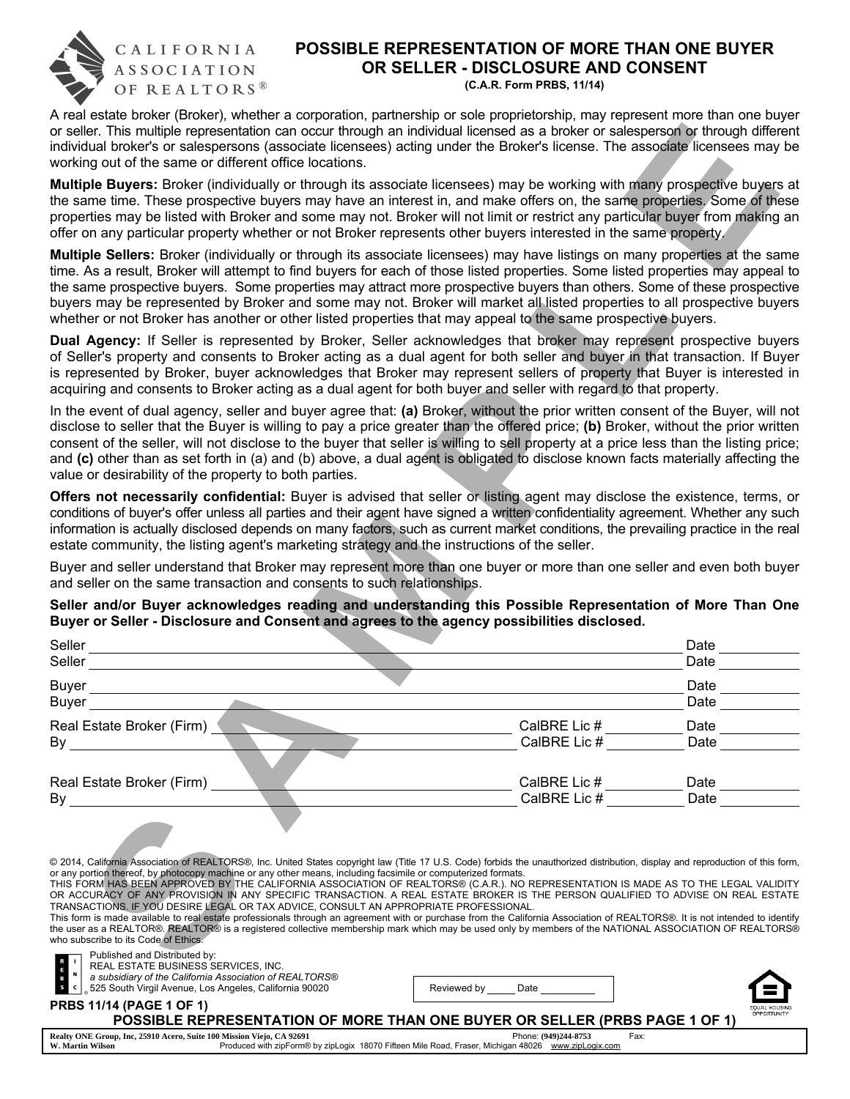

# POSSIBLE REPRESENTATION OF MORE THAN ONE BUYER OR SELLER - DISCLOSURE AND CONSENT

(C.A.R. Form PRBS, 11/14)

A real estate broker (Broker), whether a corporation, partnership or sole proprietorship, may represent more than one buyer or seller. This multiple representation can occur through an individual licensed as a broker or salesperson or through different individual broker's or salespersons (associate licensees) acting under the Broker's license. The associate licensees may be working out of the same or different office locations.

| ar coluic broker (Droker), whener a corporation, partneromp or oold prophetorship, may represent more than one baye<br>or seller. This multiple representation can occur through an individual licensed as a broker or salesperson or through different<br>individual broker's or salespersons (associate licensees) acting under the Broker's license. The associate licensees may be<br>working out of the same or different office locations.                                                                                                                                                                                                                                                                                                                                                                                                                                                                                                                                                                                                      |                |                                  |
|-------------------------------------------------------------------------------------------------------------------------------------------------------------------------------------------------------------------------------------------------------------------------------------------------------------------------------------------------------------------------------------------------------------------------------------------------------------------------------------------------------------------------------------------------------------------------------------------------------------------------------------------------------------------------------------------------------------------------------------------------------------------------------------------------------------------------------------------------------------------------------------------------------------------------------------------------------------------------------------------------------------------------------------------------------|----------------|----------------------------------|
| Multiple Buyers: Broker (individually or through its associate licensees) may be working with many prospective buyers at<br>the same time. These prospective buyers may have an interest in, and make offers on, the same properties. Some of these<br>properties may be listed with Broker and some may not. Broker will not limit or restrict any particular buyer from making an<br>offer on any particular property whether or not Broker represents other buyers interested in the same property.                                                                                                                                                                                                                                                                                                                                                                                                                                                                                                                                                |                |                                  |
| Multiple Sellers: Broker (individually or through its associate licensees) may have listings on many properties at the same<br>time. As a result, Broker will attempt to find buyers for each of those listed properties. Some listed properties may appeal to<br>the same prospective buyers. Some properties may attract more prospective buyers than others. Some of these prospective<br>buyers may be represented by Broker and some may not. Broker will market all listed properties to all prospective buyers<br>whether or not Broker has another or other listed properties that may appeal to the same prospective buyers.                                                                                                                                                                                                                                                                                                                                                                                                                 |                |                                  |
| Dual Agency: If Seller is represented by Broker, Seller acknowledges that broker may represent prospective buyers<br>of Seller's property and consents to Broker acting as a dual agent for both seller and buyer in that transaction. If Buyer<br>is represented by Broker, buyer acknowledges that Broker may represent sellers of property that Buyer is interested in<br>acquiring and consents to Broker acting as a dual agent for both buyer and seller with regard to that property.                                                                                                                                                                                                                                                                                                                                                                                                                                                                                                                                                          |                |                                  |
| In the event of dual agency, seller and buyer agree that: (a) Broker, without the prior written consent of the Buyer, will not<br>disclose to seller that the Buyer is willing to pay a price greater than the offered price; (b) Broker, without the prior written<br>consent of the seller, will not disclose to the buyer that seller is willing to sell property at a price less than the listing price;<br>and (c) other than as set forth in (a) and (b) above, a dual agent is obligated to disclose known facts materially affecting the<br>value or desirability of the property to both parties.                                                                                                                                                                                                                                                                                                                                                                                                                                            |                |                                  |
| Offers not necessarily confidential: Buyer is advised that seller or listing agent may disclose the existence, terms, or<br>conditions of buyer's offer unless all parties and their agent have signed a written confidentiality agreement. Whether any such<br>information is actually disclosed depends on many factors, such as current market conditions, the prevailing practice in the real<br>estate community, the listing agent's marketing strategy and the instructions of the seller.                                                                                                                                                                                                                                                                                                                                                                                                                                                                                                                                                     |                |                                  |
| Buyer and seller understand that Broker may represent more than one buyer or more than one seller and even both buyer<br>and seller on the same transaction and consents to such relationships.                                                                                                                                                                                                                                                                                                                                                                                                                                                                                                                                                                                                                                                                                                                                                                                                                                                       |                |                                  |
| Seller and/or Buyer acknowledges reading and understanding this Possible Representation of More Than One<br>Buyer or Seller - Disclosure and Consent and agrees to the agency possibilities disclosed.                                                                                                                                                                                                                                                                                                                                                                                                                                                                                                                                                                                                                                                                                                                                                                                                                                                |                |                                  |
| Seller                                                                                                                                                                                                                                                                                                                                                                                                                                                                                                                                                                                                                                                                                                                                                                                                                                                                                                                                                                                                                                                |                |                                  |
|                                                                                                                                                                                                                                                                                                                                                                                                                                                                                                                                                                                                                                                                                                                                                                                                                                                                                                                                                                                                                                                       |                | Date<br>Date                     |
| Buyer                                                                                                                                                                                                                                                                                                                                                                                                                                                                                                                                                                                                                                                                                                                                                                                                                                                                                                                                                                                                                                                 |                |                                  |
| <b>Buyer Exercise Exercise Advisory Andrew Proposition Contract Advisory Advisory Advisory Advisory Advisory Advisory Advisory Advisory Advisory Advisory Advisory Advisory Advisory Advisory Advisory Advisory Advisory Advis</b>                                                                                                                                                                                                                                                                                                                                                                                                                                                                                                                                                                                                                                                                                                                                                                                                                    |                |                                  |
| Real Estate Broker (Firm)                                                                                                                                                                                                                                                                                                                                                                                                                                                                                                                                                                                                                                                                                                                                                                                                                                                                                                                                                                                                                             | CalBRE Lic #   | Date                             |
| By                                                                                                                                                                                                                                                                                                                                                                                                                                                                                                                                                                                                                                                                                                                                                                                                                                                                                                                                                                                                                                                    | CalBRE Lic #   | Date Date                        |
|                                                                                                                                                                                                                                                                                                                                                                                                                                                                                                                                                                                                                                                                                                                                                                                                                                                                                                                                                                                                                                                       |                |                                  |
| Real Estate Broker (Firm)                                                                                                                                                                                                                                                                                                                                                                                                                                                                                                                                                                                                                                                                                                                                                                                                                                                                                                                                                                                                                             | CalBRE Lic $#$ |                                  |
| By                                                                                                                                                                                                                                                                                                                                                                                                                                                                                                                                                                                                                                                                                                                                                                                                                                                                                                                                                                                                                                                    | CalBRE Lic #   | $Date$ $\overline{\phantom{aa}}$ |
| © 2014, California Association of REALTORS®, Inc. United States copyright law (Title 17 U.S. Code) forbids the unauthorized distribution, display and reproduction of this form,<br>or any portion thereof, by photocopy machine or any other means, including facsimile or computerized formats.<br>THIS FORM HAS BEEN APPROVED BY THE CALIFORNIA ASSOCIATION OF REALTORS® (C.A.R.). NO REPRESENTATION IS MADE AS TO THE LEGAL VALIDITY<br>OR ACCURACY OF ANY PROVISION IN ANY SPECIFIC TRANSACTION. A REAL ESTATE BROKER IS THE PERSON QUALIFIED TO ADVISE ON REAL ESTATE<br>TRANSACTIONS. IF YOU DESIRE LEGAL OR TAX ADVICE, CONSULT AN APPROPRIATE PROFESSIONAL.<br>This form is made available to real estate professionals through an agreement with or purchase from the California Association of REALTORS®. It is not intended to identify<br>the user as a REALTOR®. REALTOR® is a registered collective membership mark which may be used only by members of the NATIONAL ASSOCIATION OF REALTORS®<br>who subscribe to its Code of Ethics. |                |                                  |
| Published and Distributed by:<br>BEAL ESTATE BUSINESS SERVICES INC.<br>R                                                                                                                                                                                                                                                                                                                                                                                                                                                                                                                                                                                                                                                                                                                                                                                                                                                                                                                                                                              |                |                                  |



PRBS 11/14 (PAGE 1 OF 1)

Published and Distributed by: REAL ESTATE BUSINESS SERVICES, INC.

*a subsidiary of the California Association of REALTORS®*

525 South Virgil Avenue, Los Angeles, California 90020 Reviewed by Date



POSSIBLE REPRESENTATION OF MORE THAN ONE BUYER OR SELLER (PRBS PAGE 1 OF 1)

Phone: (949)244-8753 Fax: Produced with zipForm® by zipLogix 18070 Fifteen Mile Road, Fraser, Michigan 48026 www.zipLogix.com **Realty ONE Group, Inc, 25910 Acero, Suite 100 Mission Viejo, CA 92691 W. Martin Wilson**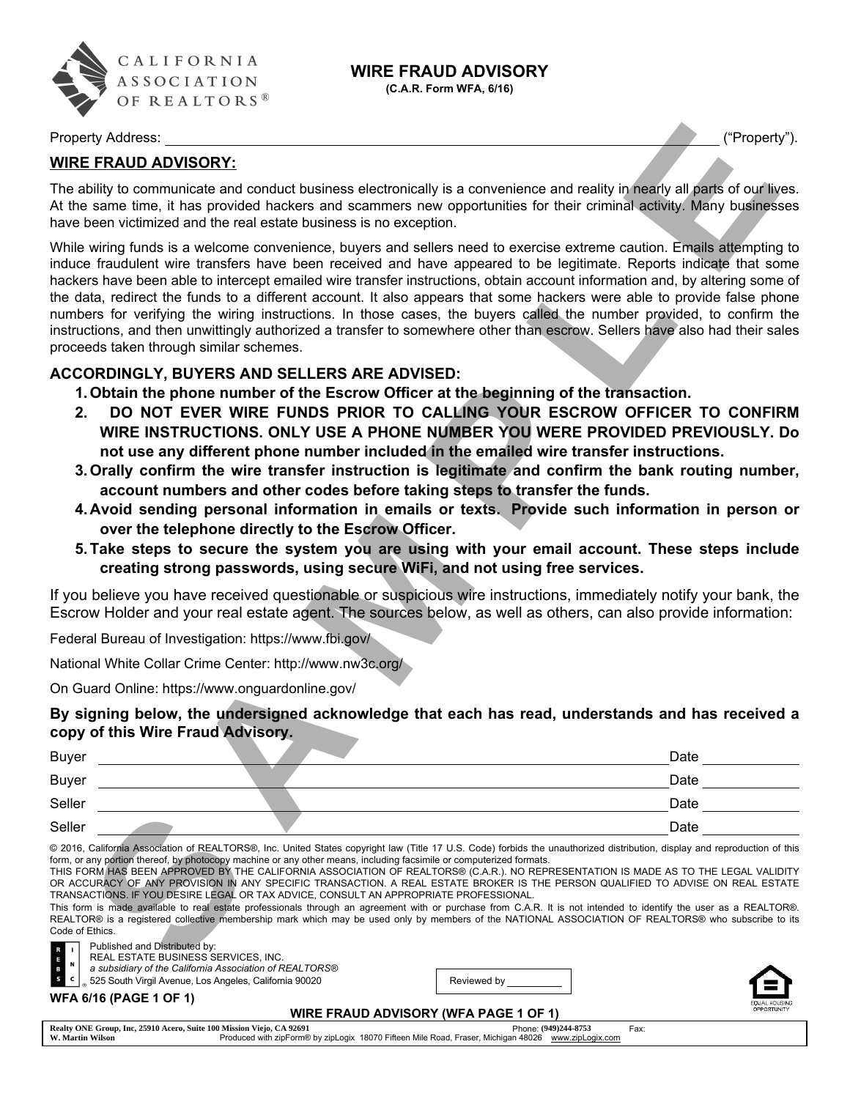

# WIRE FRAUD ADVISORY

(C.A.R. Form WFA, 6/16)

Property Address: ("Property").

## WIRE FRAUD ADVISORY:

The ability to communicate and conduct business electronically is a convenience and reality in nearly all parts of our lives. At the same time, it has provided hackers and scammers new opportunities for their criminal activity. Many businesses have been victimized and the real estate business is no exception.

shy Address.<br> **S ERAUD ADVISORY.**<br> **S ERAUD ADVISORY.**<br> **S ERAUD ADVISORY.**<br> **S ERAUD ADVISORY.**<br> **S EXAUD ADVISORY.**<br> **S EXAUD ADVISORY.**<br> **S EXAUD ADVISORY.**<br> **S EXAUD ADVISORY.**<br> **S** EXAUD ADVISORY. THIS UNIT ADVISOR IN While wiring funds is a welcome convenience, buyers and sellers need to exercise extreme caution. Emails attempting to induce fraudulent wire transfers have been received and have appeared to be legitimate. Reports indicate that some hackers have been able to intercept emailed wire transfer instructions, obtain account information and, by altering some of the data, redirect the funds to a different account. It also appears that some hackers were able to provide false phone numbers for verifying the wiring instructions. In those cases, the buyers called the number provided, to confirm the instructions, and then unwittingly authorized a transfer to somewhere other than escrow. Sellers have also had their sales proceeds taken through similar schemes.

## ACCORDINGLY, BUYERS AND SELLERS ARE ADVISED:

- 1. Obtain the phone number of the Escrow Officer at the beginning of the transaction.
- 2. DO NOT EVER WIRE FUNDS PRIOR TO CALLING YOUR ESCROW OFFICER TO CONFIRM WIRE INSTRUCTIONS. ONLY USE A PHONE NUMBER YOU WERE PROVIDED PREVIOUSLY. Do not use any different phone number included in the emailed wire transfer instructions.
- 3. Orally confirm the wire transfer instruction is legitimate and confirm the bank routing number, account numbers and other codes before taking steps to transfer the funds.
- 4. Avoid sending personal information in emails or texts. Provide such information in person or over the telephone directly to the Escrow Officer.
- 5. Take steps to secure the system you are using with your email account. These steps include creating strong passwords, using secure WiFi, and not using free services.

If you believe you have received questionable or suspicious wire instructions, immediately notify your bank, the Escrow Holder and your real estate agent. The sources below, as well as others, can also provide information:

Federal Bureau of Investigation: https://www.fbi.gov/

National White Collar Crime Center: http://www.nw3c.org/

On Guard Online: https://www.onguardonline.gov/

## By signing below, the undersigned acknowledge that each has read, understands and has received a copy of this Wire Fraud Advisory.

| <b>Buyer</b> | Date |
|--------------|------|
| <b>Buyer</b> | Date |
| Seller       | Date |
| Seller       | Date |

© 2016, California Association of REALTORS®, Inc. United States copyright law (Title 17 U.S. Code) forbids the unauthorized distribution, display and reproduction of this form, or any portion thereof, by photocopy machine or any other means, including facsimile or computerized formats.

THIS FORM HAS BEEN APPROVED BY THE CALIFORNIA ASSOCIATION OF REALTORS® (C.A.R.). NO REPRESENTATION IS MADE AS TO THE LEGAL VALIDITY OR ACCURACY OF ANY PROVISION IN ANY SPECIFIC TRANSACTION. A REAL ESTATE BROKER IS THE PERSON QUALIFIED TO ADVISE ON REAL ESTATE TRANSACTIONS. IF YOU DESIRE LEGAL OR TAX ADVICE, CONSULT AN APPROPRIATE PROFESSIONAL.

This form is made available to real estate professionals through an agreement with or purchase from C.A.R. It is not intended to identify the user as a REALTOR®. REALTOR® is a registered collective membership mark which may be used only by members of the NATIONAL ASSOCIATION OF REALTORS® who subscribe to its Code of Ethics.

Published and Distributed by:  $\mathbf{s}$  $\mathbf c$ 

REAL ESTATE BUSINESS SERVICES, INC. *a subsidiary of the California Association of REALTORS®*

525 South Virgil Avenue, Los Angeles, California 90020 **Reviewed by** Reviewed by

WFA 6/16 (PAGE 1 OF 1)

## WIRE FRAUD ADVISORY (WFA PAGE 1 OF 1)

Phone: (949)244-8753 Fax: Produced with zipForm® by zipLogix 18070 Fifteen Mile Road, Fraser, Michigan 48026 www.zipLogix.com **Realty ONE Group, Inc, 25910 Acero, Suite 100 Mission Viejo, CA 92691 W. Martin Wilson**

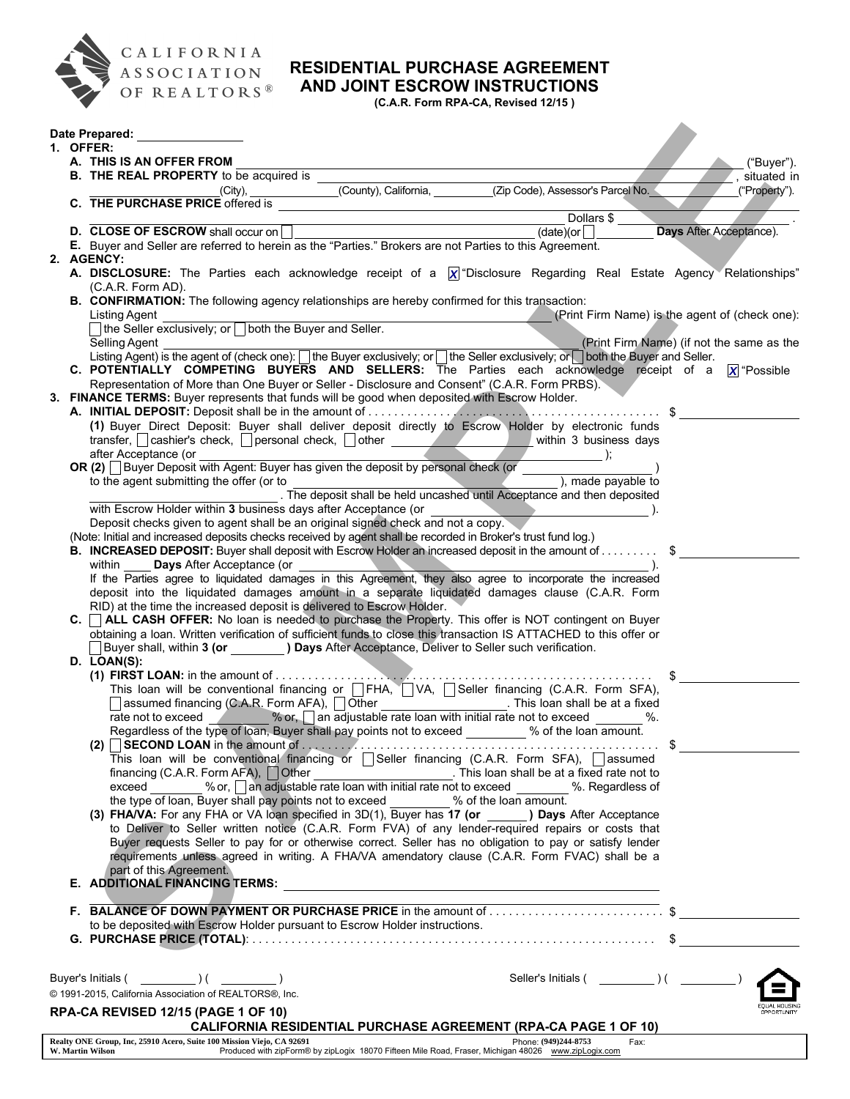

## RESIDENTIAL PURCHASE AGREEMENT AND JOINT ESCROW INSTRUCTIONS

(C.A.R. Form RPA-CA, Revised 12/15 )

| Date Prepared: Date of Prepared in the set of the set of the set of the set of the set of the set of the set o                                                                                                                   |                             |
|----------------------------------------------------------------------------------------------------------------------------------------------------------------------------------------------------------------------------------|-----------------------------|
| 1. OFFER:<br>A. THIS IS AN OFFER FROM                                                                                                                                                                                            |                             |
| <b>B.</b> THE REAL PROPERTY to be acquired is ______                                                                                                                                                                             | ("Buyer").<br>, situated in |
| (City), County), California, (Zip Code), Assessor's Parcel No.                                                                                                                                                                   | ("Property").               |
|                                                                                                                                                                                                                                  |                             |
| Dollars \$                                                                                                                                                                                                                       |                             |
| $(date)(or \Box$<br>D. CLOSE OF ESCROW shall occur on                                                                                                                                                                            | Days After Acceptance).     |
| E. Buyer and Seller are referred to herein as the "Parties." Brokers are not Parties to this Agreement.                                                                                                                          |                             |
| 2. AGENCY:                                                                                                                                                                                                                       |                             |
| A. DISCLOSURE: The Parties each acknowledge receipt of a $\overline{X}$ Disclosure Regarding Real Estate Agency Relationships"                                                                                                   |                             |
| (C.A.R. Form AD).                                                                                                                                                                                                                |                             |
| B. CONFIRMATION: The following agency relationships are hereby confirmed for this transaction:                                                                                                                                   |                             |
| Listing Agent                                                                                                                                                                                                                    |                             |
| the Seller exclusively; or both the Buyer and Seller.<br>Selling Agent                                                                                                                                                           |                             |
| Selling Agent<br>(Print Firm Name) (if not the same as the                                                                                                                                                                       |                             |
| Listing Agent) is the agent of (check one): the Buyer exclusively; or the Seller exclusively; or both the Buyer and Seller.                                                                                                      |                             |
| C. POTENTIALLY COMPETING BUYERS AND SELLERS: The Parties each acknowledge receipt of a $\overline{X}$ Possible                                                                                                                   |                             |
| Representation of More than One Buyer or Seller - Disclosure and Consent" (C.A.R. Form PRBS).                                                                                                                                    |                             |
| 3. FINANCE TERMS: Buyer represents that funds will be good when deposited with Escrow Holder.                                                                                                                                    |                             |
|                                                                                                                                                                                                                                  |                             |
| (1) Buyer Direct Deposit: Buyer shall deliver deposit directly to Escrow Holder by electronic funds                                                                                                                              |                             |
| transfer, cashier's check, personal check, other cases of a vithin 3 business days                                                                                                                                               |                             |
| after Acceptance (or<br>$\overline{\phantom{a}}$ );                                                                                                                                                                              |                             |
|                                                                                                                                                                                                                                  |                             |
| to the agent submitting the offer (or to                                                                                                                                                                                         |                             |
|                                                                                                                                                                                                                                  |                             |
|                                                                                                                                                                                                                                  |                             |
| Deposit checks given to agent shall be an original signed check and not a copy.<br>The Initial and increased deposite checks assessed in the limital and increased deposite checks are the shall be an original signed check and |                             |
| (Note: Initial and increased deposits checks received by agent shall be recorded in Broker's trust fund log.)                                                                                                                    |                             |
| <b>B.</b> INCREASED DEPOSIT: Buyer shall deposit with Escrow Holder an increased deposit in the amount of \$                                                                                                                     |                             |
| Days After Acceptance (or<br>within                                                                                                                                                                                              |                             |
| If the Parties agree to liquidated damages in this Agreement, they also agree to incorporate the increased                                                                                                                       |                             |
| deposit into the liquidated damages amount in a separate liquidated damages clause (C.A.R. Form                                                                                                                                  |                             |
| RID) at the time the increased deposit is delivered to Escrow Holder.                                                                                                                                                            |                             |
| C. ALL CASH OFFER: No loan is needed to purchase the Property. This offer is NOT contingent on Buyer                                                                                                                             |                             |
| obtaining a loan. Written verification of sufficient funds to close this transaction IS ATTACHED to this offer or                                                                                                                |                             |
| Buyer shall, within 3 (or ) Days After Acceptance, Deliver to Seller such verification.                                                                                                                                          |                             |
| D. LOAN(S):                                                                                                                                                                                                                      |                             |
|                                                                                                                                                                                                                                  |                             |
| This loan will be conventional financing or $\Box$ FHA, $\Box$ VA, $\Box$ Seller financing (C.A.R. Form SFA),                                                                                                                    |                             |
|                                                                                                                                                                                                                                  |                             |
| rate not to exceed __________ % or, an adjustable rate loan with initial rate not to exceed<br>%.                                                                                                                                |                             |
| Regardless of the type of loan, Buyer shall pay points not to exceed % of the loan amount.                                                                                                                                       |                             |
| (2) $\mid$ SECOND LOAN in the amount of $\dots \dots \dots \dots \dots \dots \dots \dots \dots \dots \dots \dots \dots \dots \dots \dots \$                                                                                      |                             |
| This loan will be conventional financing or Seller financing (C.A.R. Form SFA), assumed                                                                                                                                          |                             |
| financing (C.A.R. Form AFA), Other ______________________. This loan shall be at a fixed rate not to                                                                                                                             |                             |
| % or, $\Box$ an adjustable rate loan with initial rate not to exceed _______ %. Regardless of<br>exceed                                                                                                                          |                             |
| the type of loan, Buyer shall pay points not to exceed % of the loan amount.                                                                                                                                                     |                             |
| (3) FHA/VA: For any FHA or VA loan specified in 3D(1), Buyer has 17 (or ) Days After Acceptance                                                                                                                                  |                             |
| to Deliver to Seller written notice (C.A.R. Form FVA) of any lender-required repairs or costs that                                                                                                                               |                             |
| Buyer requests Seller to pay for or otherwise correct. Seller has no obligation to pay or satisfy lender                                                                                                                         |                             |
| requirements unless agreed in writing. A FHA/VA amendatory clause (C.A.R. Form FVAC) shall be a                                                                                                                                  |                             |
| part of this Agreement.                                                                                                                                                                                                          |                             |
| E. ADDITIONAL FINANCING TERMS:<br><u> 1989 - Johann John Stein, mars an deus Amerikaansk kommunister (</u>                                                                                                                       |                             |
|                                                                                                                                                                                                                                  |                             |
|                                                                                                                                                                                                                                  |                             |
| to be deposited with Escrow Holder pursuant to Escrow Holder instructions.                                                                                                                                                       |                             |
|                                                                                                                                                                                                                                  |                             |
|                                                                                                                                                                                                                                  |                             |
| Buyer's Initials ( ) ( )                                                                                                                                                                                                         |                             |
| © 1991-2015, California Association of REALTORS®, Inc.                                                                                                                                                                           |                             |
|                                                                                                                                                                                                                                  |                             |
| RPA-CA REVISED 12/15 (PAGE 1 OF 10)                                                                                                                                                                                              | <b>OPPORTUNIT</b>           |
| <b>CALIFORNIA RESIDENTIAL PURCHASE AGREEMENT (RPA-CA PAGE 1 OF 10)</b>                                                                                                                                                           |                             |
| Realty ONE Group, Inc, 25910 Acero, Suite 100 Mission Viejo, CA 92691<br>Phone: (949)244-8753<br>Fax:<br>Produced with zipForm® by zipLogix 18070 Fifteen Mile Road, Fraser, Michigan 48026 www.zipLogix.com<br>W. Martin Wilson |                             |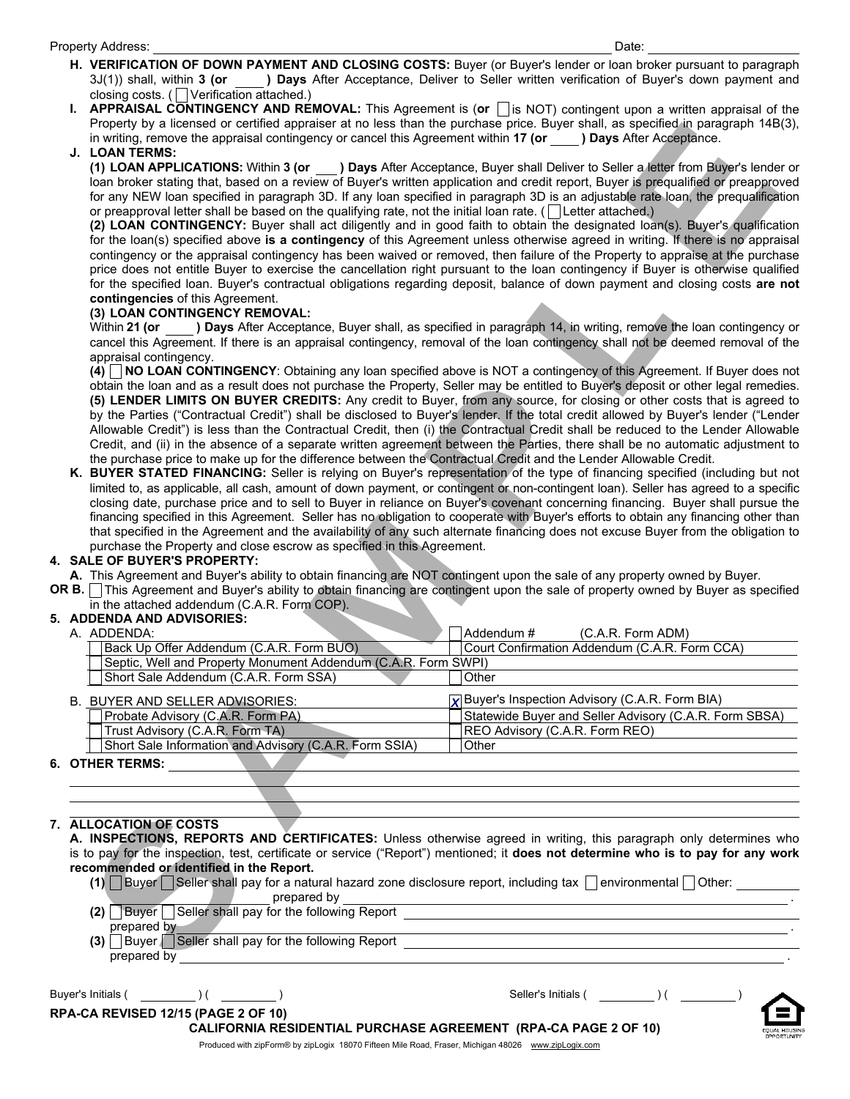- H. VERIFICATION OF DOWN PAYMENT AND CLOSING COSTS: Buyer (or Buyer's lender or loan broker pursuant to paragraph 3J(1)) shall, within 3 (or ) Days After Acceptance, Deliver to Seller written verification of Buyer's down payment and closing costs. ( Verification attached.)
- **I. APPRAISAL CONTINGENCY AND REMOVAL:** This Agreement is (or  $\Box$  is NOT) contingent upon a written appraisal of the Property by a licensed or certified appraiser at no less than the purchase price. Buyer shall, as specified in paragraph 14B(3), in writing, remove the appraisal contingency or cancel this Agreement within 17 (or ) Days After Acceptance.

## J. LOAN TERMS:

## (3) LOAN CONTINGENCY REMOVAL:

## 4. SALE OF BUYER'S PROPERTY:

- OR B. This Agreement and Buyer's ability to obtain financing are contingent upon the sale of property owned by Buyer as specified in the attached addendum (C.A.R. Form COP).
- 5. ADDENDA AND ADVISORIES:

| Property by a licensed or certified appraiser at no less than the purchase price. Buyer shall, as specified in paragraph 14B(3),         |                                                                                                                |  |  |
|------------------------------------------------------------------------------------------------------------------------------------------|----------------------------------------------------------------------------------------------------------------|--|--|
| in writing, remove the appraisal contingency or cancel this Agreement within 17 (or ) Days After Acceptance.                             |                                                                                                                |  |  |
| <b>J. LOAN TERMS:</b>                                                                                                                    |                                                                                                                |  |  |
| (1) LOAN APPLICATIONS: Within 3 (or ) Days After Acceptance, Buyer shall Deliver to Seller a letter from Buyer's lender or               |                                                                                                                |  |  |
| loan broker stating that, based on a review of Buyer's written application and credit report, Buyer is prequalified or preapproved       |                                                                                                                |  |  |
| for any NEW loan specified in paragraph 3D. If any loan specified in paragraph 3D is an adjustable rate loan, the prequalification       |                                                                                                                |  |  |
| or preapproval letter shall be based on the qualifying rate, not the initial loan rate. ( Letter attached.)                              |                                                                                                                |  |  |
| (2) LOAN CONTINGENCY: Buyer shall act diligently and in good faith to obtain the designated loan(s). Buyer's qualification               |                                                                                                                |  |  |
| for the loan(s) specified above is a contingency of this Agreement unless otherwise agreed in writing. If there is no appraisal          |                                                                                                                |  |  |
| contingency or the appraisal contingency has been waived or removed, then failure of the Property to appraise at the purchase            |                                                                                                                |  |  |
| price does not entitle Buyer to exercise the cancellation right pursuant to the loan contingency if Buyer is otherwise qualified         |                                                                                                                |  |  |
| for the specified loan. Buyer's contractual obligations regarding deposit, balance of down payment and closing costs are not             |                                                                                                                |  |  |
| contingencies of this Agreement.                                                                                                         |                                                                                                                |  |  |
| (3) LOAN CONTINGENCY REMOVAL:                                                                                                            |                                                                                                                |  |  |
| Within 21 (or ) Days After Acceptance, Buyer shall, as specified in paragraph 14, in writing, remove the loan contingency or             |                                                                                                                |  |  |
| cancel this Agreement. If there is an appraisal contingency, removal of the loan contingency shall not be deemed removal of the          |                                                                                                                |  |  |
| appraisal contingency.                                                                                                                   |                                                                                                                |  |  |
| (4) NO LOAN CONTINGENCY: Obtaining any loan specified above is NOT a contingency of this Agreement. If Buyer does not                    |                                                                                                                |  |  |
| obtain the loan and as a result does not purchase the Property, Seller may be entitled to Buyer's deposit or other legal remedies.       |                                                                                                                |  |  |
| (5) LENDER LIMITS ON BUYER CREDITS: Any credit to Buyer, from any source, for closing or other costs that is agreed to                   |                                                                                                                |  |  |
| by the Parties ("Contractual Credit") shall be disclosed to Buyer's lender. If the total credit allowed by Buyer's lender ("Lender       |                                                                                                                |  |  |
| Allowable Credit") is less than the Contractual Credit, then (i) the Contractual Credit shall be reduced to the Lender Allowable         |                                                                                                                |  |  |
| Credit, and (ii) in the absence of a separate written agreement between the Parties, there shall be no automatic adjustment to           |                                                                                                                |  |  |
| the purchase price to make up for the difference between the Contractual Credit and the Lender Allowable Credit.                         |                                                                                                                |  |  |
| K. BUYER STATED FINANCING: Seller is relying on Buyer's representation of the type of financing specified (including but not             |                                                                                                                |  |  |
| limited to, as applicable, all cash, amount of down payment, or contingent or non-contingent loan). Seller has agreed to a specific      |                                                                                                                |  |  |
| closing date, purchase price and to sell to Buyer in reliance on Buyer's covenant concerning financing. Buyer shall pursue the           |                                                                                                                |  |  |
|                                                                                                                                          |                                                                                                                |  |  |
| financing specified in this Agreement. Seller has no obligation to cooperate with Buyer's efforts to obtain any financing other than     |                                                                                                                |  |  |
| that specified in the Agreement and the availability of any such alternate financing does not excuse Buyer from the obligation to        |                                                                                                                |  |  |
| purchase the Property and close escrow as specified in this Agreement.                                                                   |                                                                                                                |  |  |
| . SALE OF BUYER'S PROPERTY:                                                                                                              |                                                                                                                |  |  |
| A. This Agreement and Buyer's ability to obtain financing are NOT contingent upon the sale of any property owned by Buyer.               |                                                                                                                |  |  |
| <b>RR B.</b> This Agreement and Buyer's ability to obtain financing are contingent upon the sale of property owned by Buyer as specified |                                                                                                                |  |  |
| in the attached addendum (C.A.R. Form COP).                                                                                              |                                                                                                                |  |  |
| <b>ADDENDA AND ADVISORIES:</b>                                                                                                           |                                                                                                                |  |  |
| A. ADDENDA:                                                                                                                              | Addendum#<br>(C.A.R. Form ADM)                                                                                 |  |  |
| Back Up Offer Addendum (C.A.R. Form BUO)                                                                                                 | Court Confirmation Addendum (C.A.R. Form CCA)                                                                  |  |  |
| Septic, Well and Property Monument Addendum (C.A.R. Form SWPI)                                                                           |                                                                                                                |  |  |
| Short Sale Addendum (C.A.R. Form SSA)                                                                                                    | Other                                                                                                          |  |  |
|                                                                                                                                          | <b>X</b> Buyer's Inspection Advisory (C.A.R. Form BIA)                                                         |  |  |
| B. BUYER AND SELLER ADVISORIES:                                                                                                          |                                                                                                                |  |  |
| Probate Advisory (C.A.R. Form PA)                                                                                                        | Statewide Buyer and Seller Advisory (C.A.R. Form SBSA)                                                         |  |  |
| Trust Advisory (C.A.R. Form TA)                                                                                                          | REO Advisory (C.A.R. Form REO)                                                                                 |  |  |
| Short Sale Information and Advisory (C.A.R. Form SSIA)                                                                                   | Other                                                                                                          |  |  |
| <b>OTHER TERMS:</b>                                                                                                                      |                                                                                                                |  |  |
|                                                                                                                                          |                                                                                                                |  |  |
|                                                                                                                                          |                                                                                                                |  |  |
|                                                                                                                                          |                                                                                                                |  |  |
| <b>ALLOCATION OF COSTS</b>                                                                                                               |                                                                                                                |  |  |
| A. INSPECTIONS, REPORTS AND CERTIFICATES: Unless otherwise agreed in writing, this paragraph only determines who                         |                                                                                                                |  |  |
| is to pay for the inspection, test, certificate or service ("Report") mentioned; it does not determine who is to pay for any work        |                                                                                                                |  |  |
| recommended or identified in the Report.                                                                                                 |                                                                                                                |  |  |
| (1) Buyer Seller shall pay for a natural hazard zone disclosure report, including tax environmental other:                               |                                                                                                                |  |  |
| prepared by                                                                                                                              |                                                                                                                |  |  |
| prepared by<br>(2) Buyer Seller shall pay for the following Report <b>CONSISTENT CONSISTENT</b>                                          |                                                                                                                |  |  |
| prepared by                                                                                                                              | <u>. A strong product the strong product of the strong product of the strong product of the strong product</u> |  |  |
| (3) Buyer Seller shall pay for the following Report <b>Seller Seller Seller Seller Seller</b> Shall pay for the following Report         |                                                                                                                |  |  |

6. OTHER TERMS:

## 7. ALLOCATION OF COSTS

| Buyer  Seller shall pay for a natural hazard zone disclosure report, including tax<br>(1)<br>$ $ environmental $ $ Other: |  |
|---------------------------------------------------------------------------------------------------------------------------|--|
| prepared by                                                                                                               |  |
| Buyer   Seller shall pay for the following Report<br>(2)                                                                  |  |
| prepared by                                                                                                               |  |
| Buyer Seller shall pay for the following Report<br>(3)                                                                    |  |
| prepared by                                                                                                               |  |
|                                                                                                                           |  |

Buyer's Initials ( \_\_\_\_\_\_\_\_\_\_\_\_) ( \_\_\_\_\_\_\_\_\_) Seller's Initials ( \_\_\_\_\_\_\_\_\_\_\_\_) ( \_\_\_\_\_\_\_\_\_\_\_\_\_\_\_\_\_\_ RPA-CA REVISED 12/15 (PAGE 2 OF 10)



CALIFORNIA RESIDENTIAL PURCHASE AGREEMENT (RPA-CA PAGE 2 OF 10)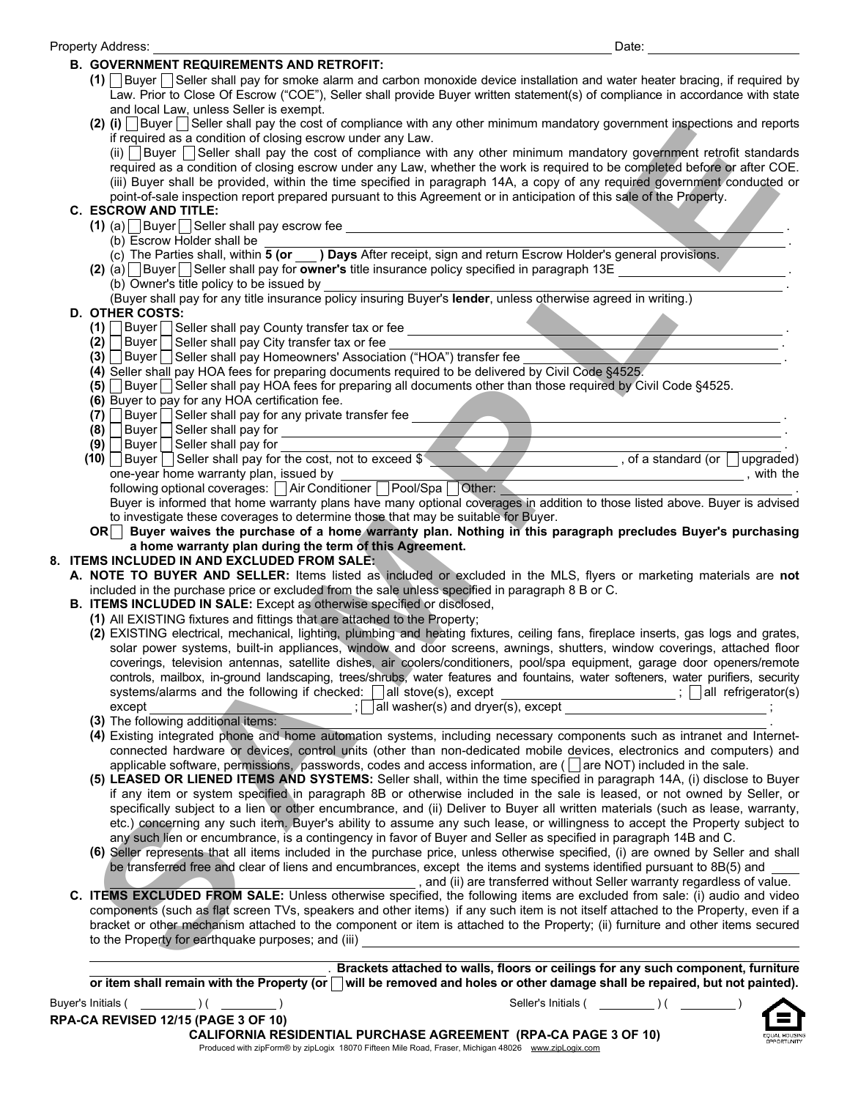| <b>B. GOVERNMENT REQUIREMENTS AND RETROFIT:</b><br>(1) $\Box$ Buyer $\Box$ Seller shall pay for smoke alarm and carbon monoxide device installation and water heater bracing, if required by<br>Law. Prior to Close Of Escrow ("COE"), Seller shall provide Buyer written statement(s) of compliance in accordance with state                                                                                                                                               |
|-----------------------------------------------------------------------------------------------------------------------------------------------------------------------------------------------------------------------------------------------------------------------------------------------------------------------------------------------------------------------------------------------------------------------------------------------------------------------------|
| and local Law, unless Seller is exempt.                                                                                                                                                                                                                                                                                                                                                                                                                                     |
| (2) (i) Buyer Seller shall pay the cost of compliance with any other minimum mandatory government inspections and reports<br>if required as a condition of closing escrow under any Law.                                                                                                                                                                                                                                                                                    |
| (ii) Buyer Seller shall pay the cost of compliance with any other minimum mandatory government retrofit standards<br>required as a condition of closing escrow under any Law, whether the work is required to be completed before or after COE.<br>(iii) Buyer shall be provided, within the time specified in paragraph 14A, a copy of any required government conducted or                                                                                                |
| point-of-sale inspection report prepared pursuant to this Agreement or in anticipation of this sale of the Property.                                                                                                                                                                                                                                                                                                                                                        |
| <b>C. ESCROW AND TITLE:</b>                                                                                                                                                                                                                                                                                                                                                                                                                                                 |
| (b) Escrow Holder shall be                                                                                                                                                                                                                                                                                                                                                                                                                                                  |
| (c) The Parties shall, within $\overline{5 (or \_)}$ Days After receipt, sign and return Escrow Holder's general provisions.                                                                                                                                                                                                                                                                                                                                                |
| (2) (a) Buyer Seller shall pay for owner's title insurance policy specified in paragraph 13E                                                                                                                                                                                                                                                                                                                                                                                |
| (b) Owner's title policy to be issued by                                                                                                                                                                                                                                                                                                                                                                                                                                    |
| <b>D. OTHER COSTS:</b>                                                                                                                                                                                                                                                                                                                                                                                                                                                      |
| (1) Buyer Seller shall pay County transfer tax or fee                                                                                                                                                                                                                                                                                                                                                                                                                       |
| (2) Buyer Seller shall pay City transfer tax or fee                                                                                                                                                                                                                                                                                                                                                                                                                         |
| (3) Buyer Seller shall pay Homeowners' Association ("HOA") transfer fee<br>(4) Seller shall pay HOA fees for preparing documents required to be delivered by Civil Code §4525.                                                                                                                                                                                                                                                                                              |
| (5) Buyer Seller shall pay HOA fees for preparing all documents other than those required by Civil Code §4525.                                                                                                                                                                                                                                                                                                                                                              |
| (6) Buyer to pay for any HOA certification fee.                                                                                                                                                                                                                                                                                                                                                                                                                             |
|                                                                                                                                                                                                                                                                                                                                                                                                                                                                             |
| (b) Buyer Seller shall pay for any private transfer fee<br>(a) Buyer Seller shall pay for<br>(a) Buyer Seller shall pay for<br>(10) Buyer Seller shall pay for the cost, not to exceed \$                                                                                                                                                                                                                                                                                   |
|                                                                                                                                                                                                                                                                                                                                                                                                                                                                             |
| $\frac{1}{\sqrt{1-\frac{1}{\sqrt{1-\frac{1}{\sqrt{1-\frac{1}{\sqrt{1-\frac{1}{\sqrt{1-\frac{1}{\sqrt{1-\frac{1}{\sqrt{1-\frac{1}{\sqrt{1-\frac{1}{\sqrt{1-\frac{1}{\sqrt{1-\frac{1}{\sqrt{1-\frac{1}{\sqrt{1-\frac{1}{\sqrt{1-\frac{1}{\sqrt{1-\frac{1}{\sqrt{1-\frac{1}{\sqrt{1-\frac{1}{\sqrt{1-\frac{1}{\sqrt{1-\frac{1}{\sqrt{1-\frac{1}{\sqrt{1-\frac{1}{\sqrt{1-\frac{1}{\sqrt{1-\frac{1}{\sqrt{1-\frac{1}{\sqrt{1-\frac{1$<br>one-year home warranty plan, issued by |
| following optional coverages:   Air Conditioner   Pool/Spa   Other:                                                                                                                                                                                                                                                                                                                                                                                                         |
| Buyer is informed that home warranty plans have many optional coverages in addition to those listed above. Buyer is advised                                                                                                                                                                                                                                                                                                                                                 |
| to investigate these coverages to determine those that may be suitable for Buyer.                                                                                                                                                                                                                                                                                                                                                                                           |
| OR Buyer waives the purchase of a home warranty plan. Nothing in this paragraph precludes Buyer's purchasing<br>a home warranty plan during the term of this Agreement.                                                                                                                                                                                                                                                                                                     |
| 8. ITEMS INCLUDED IN AND EXCLUDED FROM SALE:                                                                                                                                                                                                                                                                                                                                                                                                                                |
| A. NOTE TO BUYER AND SELLER: Items listed as included or excluded in the MLS, flyers or marketing materials are not                                                                                                                                                                                                                                                                                                                                                         |
| included in the purchase price or excluded from the sale unless specified in paragraph 8 B or C.                                                                                                                                                                                                                                                                                                                                                                            |
| B. ITEMS INCLUDED IN SALE: Except as otherwise specified or disclosed,                                                                                                                                                                                                                                                                                                                                                                                                      |
| (1) All EXISTING fixtures and fittings that are attached to the Property;<br>(2) EXISTING electrical, mechanical, lighting, plumbing and heating fixtures, ceiling fans, fireplace inserts, gas logs and grates,                                                                                                                                                                                                                                                            |
| solar power systems, built-in appliances, window and door screens, awnings, shutters, window coverings, attached floor                                                                                                                                                                                                                                                                                                                                                      |
| coverings, television antennas, satellite dishes, air coolers/conditioners, pool/spa equipment, garage door openers/remote                                                                                                                                                                                                                                                                                                                                                  |
| controls, mailbox, in-ground landscaping, trees/shrubs, water features and fountains, water softeners, water purifiers, security                                                                                                                                                                                                                                                                                                                                            |
| systems/alarms and the following if checked: $\Box$ all stove(s), except<br>$\overline{\phantom{a}}$ ; all refrigerator(s)<br>$\mathbf{E}$ ; $\Box$ all washer(s) and dryer(s), except<br>except                                                                                                                                                                                                                                                                            |
| (3) The following additional items:                                                                                                                                                                                                                                                                                                                                                                                                                                         |
| (4) Existing integrated phone and home automation systems, including necessary components such as intranet and Internet-                                                                                                                                                                                                                                                                                                                                                    |
| connected hardware or devices, control units (other than non-dedicated mobile devices, electronics and computers) and                                                                                                                                                                                                                                                                                                                                                       |
| applicable software, permissions, passwords, codes and access information, are $(\Box$ are NOT) included in the sale.                                                                                                                                                                                                                                                                                                                                                       |
| (5) LEASED OR LIENED ITEMS AND SYSTEMS: Seller shall, within the time specified in paragraph 14A, (i) disclose to Buyer<br>if any item or system specified in paragraph 8B or otherwise included in the sale is leased, or not owned by Seller, or                                                                                                                                                                                                                          |
| specifically subject to a lien or other encumbrance, and (ii) Deliver to Buyer all written materials (such as lease, warranty,                                                                                                                                                                                                                                                                                                                                              |
| etc.) concerning any such item. Buyer's ability to assume any such lease, or willingness to accept the Property subject to                                                                                                                                                                                                                                                                                                                                                  |
| any such lien or encumbrance, is a contingency in favor of Buyer and Seller as specified in paragraph 14B and C.                                                                                                                                                                                                                                                                                                                                                            |
| (6) Seller represents that all items included in the purchase price, unless otherwise specified, (i) are owned by Seller and shall                                                                                                                                                                                                                                                                                                                                          |
| be transferred free and clear of liens and encumbrances, except the items and systems identified pursuant to 8B(5) and                                                                                                                                                                                                                                                                                                                                                      |
| , and (ii) are transferred without Seller warranty regardless of value.<br>C. ITEMS EXCLUDED FROM SALE: Unless otherwise specified, the following items are excluded from sale: (i) audio and video                                                                                                                                                                                                                                                                         |
| components (such as flat screen TVs, speakers and other items) if any such item is not itself attached to the Property, even if a                                                                                                                                                                                                                                                                                                                                           |
| bracket or other mechanism attached to the component or item is attached to the Property; (ii) furniture and other items secured                                                                                                                                                                                                                                                                                                                                            |
| to the Property for earthquake purposes; and (iii)                                                                                                                                                                                                                                                                                                                                                                                                                          |
|                                                                                                                                                                                                                                                                                                                                                                                                                                                                             |

. Brackets attached to walls, floors or ceilings for any such component, furniture  $\overline{\text{or}}$  item shall remain with the Property (or  $\Box$  will be removed and holes or other damage shall be repaired, but not painted).

Buyer's Initials ( \_\_\_\_\_\_\_\_\_\_\_\_) ( \_\_\_\_\_\_\_\_\_) Seller's Initials ( \_\_\_\_\_\_\_\_\_) ( \_\_\_\_\_\_\_\_\_) RPA-CA REVISED 12/15 (PAGE 3 OF 10)



CALIFORNIA RESIDENTIAL PURCHASE AGREEMENT (RPA-CA PAGE 3 OF 10) Produced with zipForm® by zipLogix 18070 Fifteen Mile Road, Fraser, Michigan 48026 www.zipLogix.com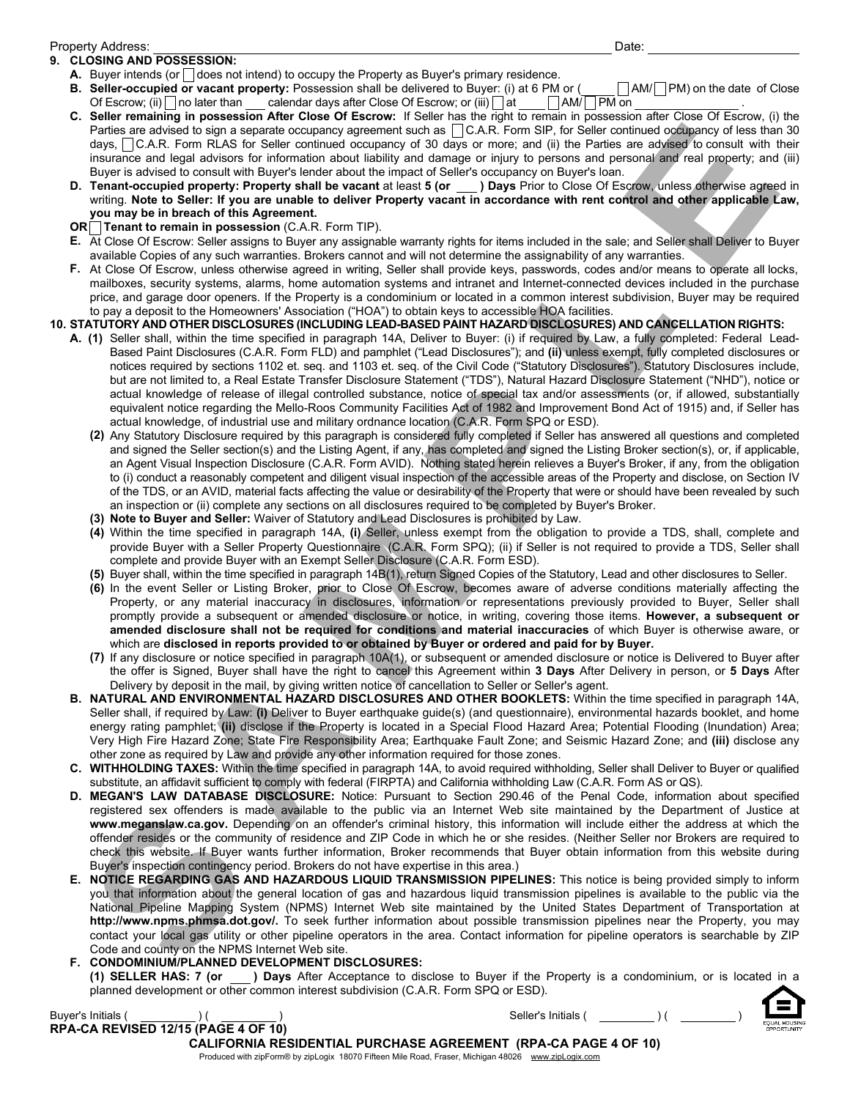- A. Buyer intends (or  $\Box$  does not intend) to occupy the Property as Buyer's primary residence.
- B. Seller-occupied or vacant property: Possession shall be delivered to Buyer: (i) at 6 PM or  $($   $\Box$  AM/ $\Box$  PM) on the date of Close Of Escrow; (ii)  $\Box$  no later than  $\Box$  calendar days after Close Of Escrow; or (iii)  $\Box$  at  $\Box$  AM/  $\Box$  PM on .
- C. Seller remaining in possession After Close Of Escrow: If Seller has the right to remain in possession after Close Of Escrow, (i) the Parties are advised to sign a separate occupancy agreement such as C.A.R. Form SIP, for Seller continued occupancy of less than 30 days, C.A.R. Form RLAS for Seller continued occupancy of 30 days or more; and (ii) the Parties are advised to consult with their insurance and legal advisors for information about liability and damage or injury to persons and personal and real property; and (iii)
- Buyer is advised to consult with Buyer's lender about the impact of Seller's occupancy on Buyer's loan.<br>Tenant-occupied property: Property shall be vacant at least 5 (or ) Days Prior to Close Of Escrow, unless otherwise ag D. Tenant-occupied property: Property shall be vacant at least 5 (or writing. Note to Seller: If you are unable to deliver Property vacant in accordance with rent control and other applicable Law, you may be in breach of this Agreement.
- OR Tenant to remain in possession (C.A.R. Form TIP).
- E. At Close Of Escrow: Seller assigns to Buyer any assignable warranty rights for items included in the sale; and Seller shall Deliver to Buyer available Copies of any such warranties. Brokers cannot and will not determine the assignability of any warranties.
- F. At Close Of Escrow, unless otherwise agreed in writing, Seller shall provide keys, passwords, codes and/or means to operate all locks, mailboxes, security systems, alarms, home automation systems and intranet and Internet-connected devices included in the purchase price, and garage door openers. If the Property is a condominium or located in a common interest subdivision, Buyer may be required to pay a deposit to the Homeowners' Association ("HOA") to obtain keys to accessible HOA facilities.

## 10. STATUTORY AND OTHER DISCLOSURES (INCLUDING LEAD-BASED PAINT HAZARD DISCLOSURES) AND CANCELLATION RIGHTS:

- **Phono and External method with the state of the first interaction in the state of the state of the state of the state of the state of the state of the state of the state of the state of the state of the state of the sta** A. (1) Seller shall, within the time specified in paragraph 14A, Deliver to Buyer: (i) if required by Law, a fully completed: Federal Lead-Based Paint Disclosures (C.A.R. Form FLD) and pamphlet ("Lead Disclosures"); and (ii) unless exempt, fully completed disclosures or notices required by sections 1102 et. seq. and 1103 et. seq. of the Civil Code ("Statutory Disclosures"). Statutory Disclosures include, but are not limited to, a Real Estate Transfer Disclosure Statement ("TDS"), Natural Hazard Disclosure Statement ("NHD"), notice or actual knowledge of release of illegal controlled substance, notice of special tax and/or assessments (or, if allowed, substantially equivalent notice regarding the Mello-Roos Community Facilities Act of 1982 and Improvement Bond Act of 1915) and, if Seller has actual knowledge, of industrial use and military ordnance location (C.A.R. Form SPQ or ESD).
	- (2) Any Statutory Disclosure required by this paragraph is considered fully completed if Seller has answered all questions and completed and signed the Seller section(s) and the Listing Agent, if any, has completed and signed the Listing Broker section(s), or, if applicable, an Agent Visual Inspection Disclosure (C.A.R. Form AVID). Nothing stated herein relieves a Buyer's Broker, if any, from the obligation to (i) conduct a reasonably competent and diligent visual inspection of the accessible areas of the Property and disclose, on Section IV of the TDS, or an AVID, material facts affecting the value or desirability of the Property that were or should have been revealed by such an inspection or (ii) complete any sections on all disclosures required to be completed by Buyer's Broker.
	- (3) Note to Buyer and Seller: Waiver of Statutory and Lead Disclosures is prohibited by Law.
	- (4) Within the time specified in paragraph 14A, (i) Seller, unless exempt from the obligation to provide a TDS, shall, complete and provide Buyer with a Seller Property Questionnaire (C.A.R. Form SPQ); (ii) if Seller is not required to provide a TDS, Seller shall complete and provide Buyer with an Exempt Seller Disclosure (C.A.R. Form ESD).
	- (5) Buyer shall, within the time specified in paragraph 14B(1), return Signed Copies of the Statutory, Lead and other disclosures to Seller.
	- (6) In the event Seller or Listing Broker, prior to Close Of Escrow, becomes aware of adverse conditions materially affecting the Property, or any material inaccuracy in disclosures, information or representations previously provided to Buyer, Seller shall promptly provide a subsequent or amended disclosure or notice, in writing, covering those items. However, a subsequent or amended disclosure shall not be required for conditions and material inaccuracies of which Buyer is otherwise aware, or which are disclosed in reports provided to or obtained by Buyer or ordered and paid for by Buyer.
	- (7) If any disclosure or notice specified in paragraph 10A(1), or subsequent or amended disclosure or notice is Delivered to Buyer after the offer is Signed, Buyer shall have the right to cancel this Agreement within 3 Days After Delivery in person, or 5 Days After Delivery by deposit in the mail, by giving written notice of cancellation to Seller or Seller's agent.
- B. NATURAL AND ENVIRONMENTAL HAZARD DISCLOSURES AND OTHER BOOKLETS: Within the time specified in paragraph 14A, Seller shall, if required by Law: (i) Deliver to Buyer earthquake guide(s) (and questionnaire), environmental hazards booklet, and home energy rating pamphlet; (ii) disclose if the Property is located in a Special Flood Hazard Area; Potential Flooding (Inundation) Area; Very High Fire Hazard Zone; State Fire Responsibility Area; Earthquake Fault Zone; and Seismic Hazard Zone; and (iii) disclose any other zone as required by Law and provide any other information required for those zones.
- C. WITHHOLDING TAXES: Within the time specified in paragraph 14A, to avoid required withholding, Seller shall Deliver to Buyer or qualified substitute, an affidavit sufficient to comply with federal (FIRPTA) and California withholding Law (C.A.R. Form AS or QS).
- D. MEGAN'S LAW DATABASE DISCLOSURE: Notice: Pursuant to Section 290.46 of the Penal Code, information about specified registered sex offenders is made available to the public via an Internet Web site maintained by the Department of Justice at www.meganslaw.ca.gov. Depending on an offender's criminal history, this information will include either the address at which the offender resides or the community of residence and ZIP Code in which he or she resides. (Neither Seller nor Brokers are required to check this website. If Buyer wants further information, Broker recommends that Buyer obtain information from this website during Buyer's inspection contingency period. Brokers do not have expertise in this area.)
- E. NOTICE REGARDING GAS AND HAZARDOUS LIQUID TRANSMISSION PIPELINES: This notice is being provided simply to inform you that information about the general location of gas and hazardous liquid transmission pipelines is available to the public via the National Pipeline Mapping System (NPMS) Internet Web site maintained by the United States Department of Transportation at http://www.npms.phmsa.dot.gov/. To seek further information about possible transmission pipelines near the Property, you may contact your local gas utility or other pipeline operators in the area. Contact information for pipeline operators is searchable by ZIP Code and county on the NPMS Internet Web site.

## F. CONDOMINIUM/PLANNED DEVELOPMENT DISCLOSURES:

(1) SELLER HAS: 7 (or ) Days After Acceptance to disclose to Buyer if the Property is a condominium, or is located in a planned development or other common interest subdivision (C.A.R. Form SPQ or ESD).

Buyer's Initials ( <u>\_\_\_\_\_\_\_\_</u> ) ( \_\_\_\_\_\_\_\_ ) Seller's Initials ( \_\_\_\_\_\_\_ ) ( \_\_\_\_ RPA-CA REVISED 12/15 (PAGE 4 OF 10)



CALIFORNIA RESIDENTIAL PURCHASE AGREEMENT (RPA-CA PAGE 4 OF 10)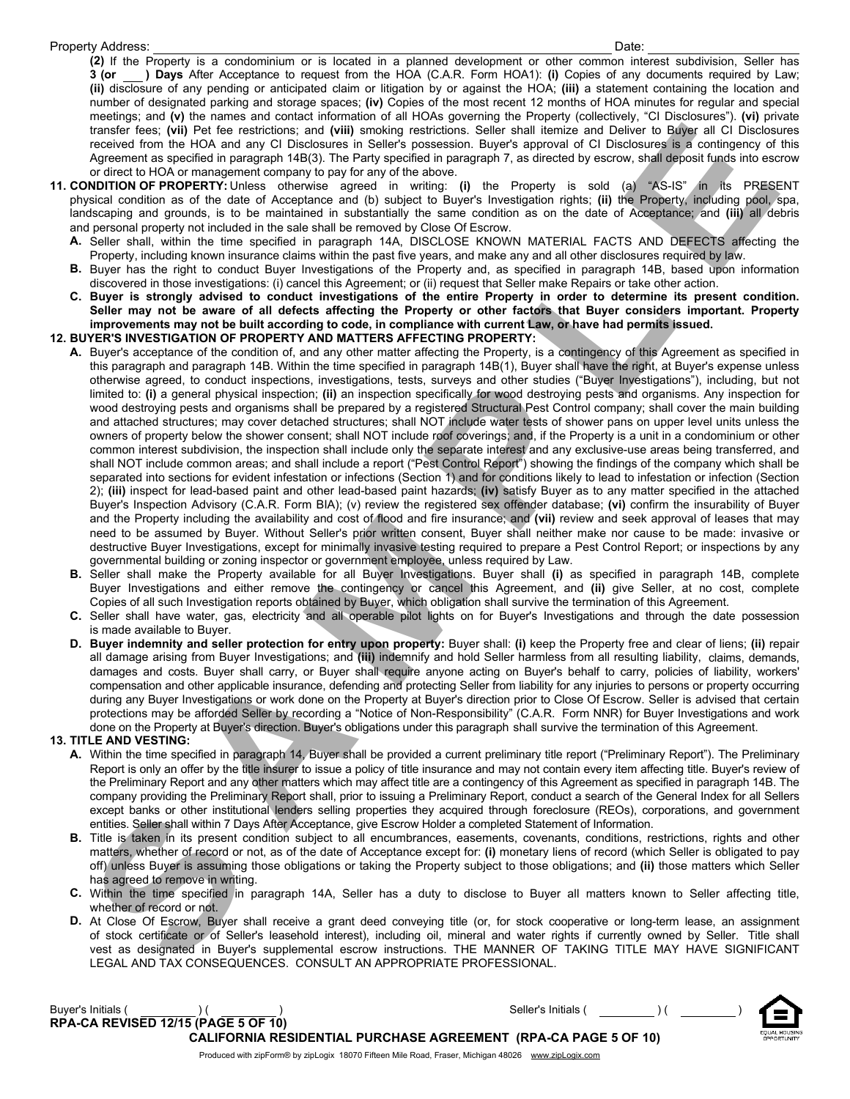(2) If the Property is a condominium or is located in a planned development or other common interest subdivision, Seller has 3 (or ) Days After Acceptance to request from the HOA (C.A.R. Form HOA1): (i) Copies of any documents required by Law; (ii) disclosure of any pending or anticipated claim or litigation by or against the HOA; (iii) a statement containing the location and number of designated parking and storage spaces; (iv) Copies of the most recent 12 months of HOA minutes for regular and special meetings; and (v) the names and contact information of all HOAs governing the Property (collectively, "CI Disclosures"). (vi) private transfer fees; (vii) Pet fee restrictions; and (viii) smoking restrictions. Seller shall itemize and Deliver to Buyer all CI Disclosures received from the HOA and any CI Disclosures in Seller's possession. Buyer's approval of CI Disclosures is a contingency of this Agreement as specified in paragraph 14B(3). The Party specified in paragraph 7, as directed by escrow, shall deposit funds into escrow or direct to HOA or management company to pay for any of the above.

- 11. CONDITION OF PROPERTY: Unless otherwise agreed in writing: (i) the Property is sold (a) "AS-IS" in its PRESENT physical condition as of the date of Acceptance and (b) subject to Buyer's Investigation rights; (ii) the Property, including pool, spa, landscaping and grounds, is to be maintained in substantially the same condition as on the date of Acceptance; and (iii) all debris and personal property not included in the sale shall be removed by Close Of Escrow.
	- A. Seller shall, within the time specified in paragraph 14A, DISCLOSE KNOWN MATERIAL FACTS AND DEFECTS affecting the Property, including known insurance claims within the past five years, and make any and all other disclosures required by law.
	- B. Buyer has the right to conduct Buyer Investigations of the Property and, as specified in paragraph 14B, based upon information discovered in those investigations: (i) cancel this Agreement; or (ii) request that Seller make Repairs or take other action.
	- C. Buyer is strongly advised to conduct investigations of the entire Property in order to determine its present condition. Seller may not be aware of all defects affecting the Property or other factors that Buyer considers important. Property improvements may not be built according to code, in compliance with current Law, or have had permits issued.
- 12. BUYER'S INVESTIGATION OF PROPERTY AND MATTERS AFFECTING PROPERTY:
- **Novel mean to the second constraint of the second constraint in the second constraint in the second constraint in the second constraint in the second constraint in the second constraint in the second constraint in the se** A. Buyer's acceptance of the condition of, and any other matter affecting the Property, is a contingency of this Agreement as specified in this paragraph and paragraph 14B. Within the time specified in paragraph 14B(1), Buyer shall have the right, at Buyer's expense unless otherwise agreed, to conduct inspections, investigations, tests, surveys and other studies ("Buyer Investigations"), including, but not limited to: (i) a general physical inspection; (ii) an inspection specifically for wood destroying pests and organisms. Any inspection for wood destroying pests and organisms shall be prepared by a registered Structural Pest Control company; shall cover the main building and attached structures; may cover detached structures; shall NOT include water tests of shower pans on upper level units unless the owners of property below the shower consent; shall NOT include roof coverings; and, if the Property is a unit in a condominium or other common interest subdivision, the inspection shall include only the separate interest and any exclusive-use areas being transferred, and shall NOT include common areas; and shall include a report ("Pest Control Report") showing the findings of the company which shall be separated into sections for evident infestation or infections (Section 1) and for conditions likely to lead to infestation or infection (Section 2); (iii) inspect for lead-based paint and other lead-based paint hazards; (iv) satisfy Buyer as to any matter specified in the attached Buyer's Inspection Advisory (C.A.R. Form BIA); (v) review the registered sex offender database; (vi) confirm the insurability of Buyer and the Property including the availability and cost of flood and fire insurance; and (vii) review and seek approval of leases that may need to be assumed by Buyer. Without Seller's prior written consent, Buyer shall neither make nor cause to be made: invasive or destructive Buyer Investigations, except for minimally invasive testing required to prepare a Pest Control Report; or inspections by any governmental building or zoning inspector or government employee, unless required by Law.
	- B. Seller shall make the Property available for all Buyer Investigations. Buyer shall (i) as specified in paragraph 14B, complete Buyer Investigations and either remove the contingency or cancel this Agreement, and (ii) give Seller, at no cost, complete Copies of all such Investigation reports obtained by Buyer, which obligation shall survive the termination of this Agreement.
	- C. Seller shall have water, gas, electricity and all operable pilot lights on for Buyer's Investigations and through the date possession is made available to Buyer.
	- D. Buyer indemnity and seller protection for entry upon property: Buyer shall: (i) keep the Property free and clear of liens; (ii) repair all damage arising from Buyer Investigations; and (iii) indemnify and hold Seller harmless from all resulting liability, claims, demands, damages and costs. Buyer shall carry, or Buyer shall require anyone acting on Buyer's behalf to carry, policies of liability, workers' compensation and other applicable insurance, defending and protecting Seller from liability for any injuries to persons or property occurring during any Buyer Investigations or work done on the Property at Buyer's direction prior to Close Of Escrow. Seller is advised that certain protections may be afforded Seller by recording a "Notice of Non-Responsibility" (C.A.R. Form NNR) for Buyer Investigations and work done on the Property at Buyer's direction. Buyer's obligations under this paragraph shall survive the termination of this Agreement.

### 13. TITLE AND VESTING:

- A. Within the time specified in paragraph 14, Buyer shall be provided a current preliminary title report "Preliminary Report"). The Preliminary Report is only an offer by the title insurer to issue a policy of title insurance and may not contain every item affecting title. Buyer's review of the Preliminary Report and any other matters which may affect title are a contingency of this Agreement as specified in paragraph 14B. The company providing the Preliminary Report shall, prior to issuing a Preliminary Report, conduct a search of the General Index for all Sellers except banks or other institutional lenders selling properties they acquired through foreclosure (REOs), corporations, and government entities. Seller shall within 7 Days After Acceptance, give Escrow Holder a completed Statement of Information.
- B. Title is taken in its present condition subject to all encumbrances, easements, covenants, conditions, restrictions, rights and other matters, whether of record or not, as of the date of Acceptance except for: (i) monetary liens of record (which Seller is obligated to pay off) unless Buyer is assuming those obligations or taking the Property subject to those obligations; and (ii) those matters which Seller has agreed to remove in writing.
- C. Within the time specified in paragraph 14A, Seller has a duty to disclose to Buyer all matters known to Seller affecting title, whether of record or not.
- D. At Close Of Escrow, Buyer shall receive a grant deed conveying title (or, for stock cooperative or long-term lease, an assignment of stock certificate or of Seller's leasehold interest), including oil, mineral and water rights if currently owned by Seller. Title shall vest as designated in Buyer's supplemental escrow instructions. THE MANNER OF TAKING TITLE MAY HAVE SIGNIFICANT LEGAL AND TAX CONSEQUENCES. CONSULT AN APPROPRIATE PROFESSIONAL.

Buyer's Initials ( ) ( ) ( ) and ( ) ( Seller's Initials ( ) ( RPA-CA REVISED 12/15 (PAGE 5 OF 10) CALIFORNIA RESIDENTIAL PURCHASE AGREEMENT (RPA-CA PAGE 5 OF 10)

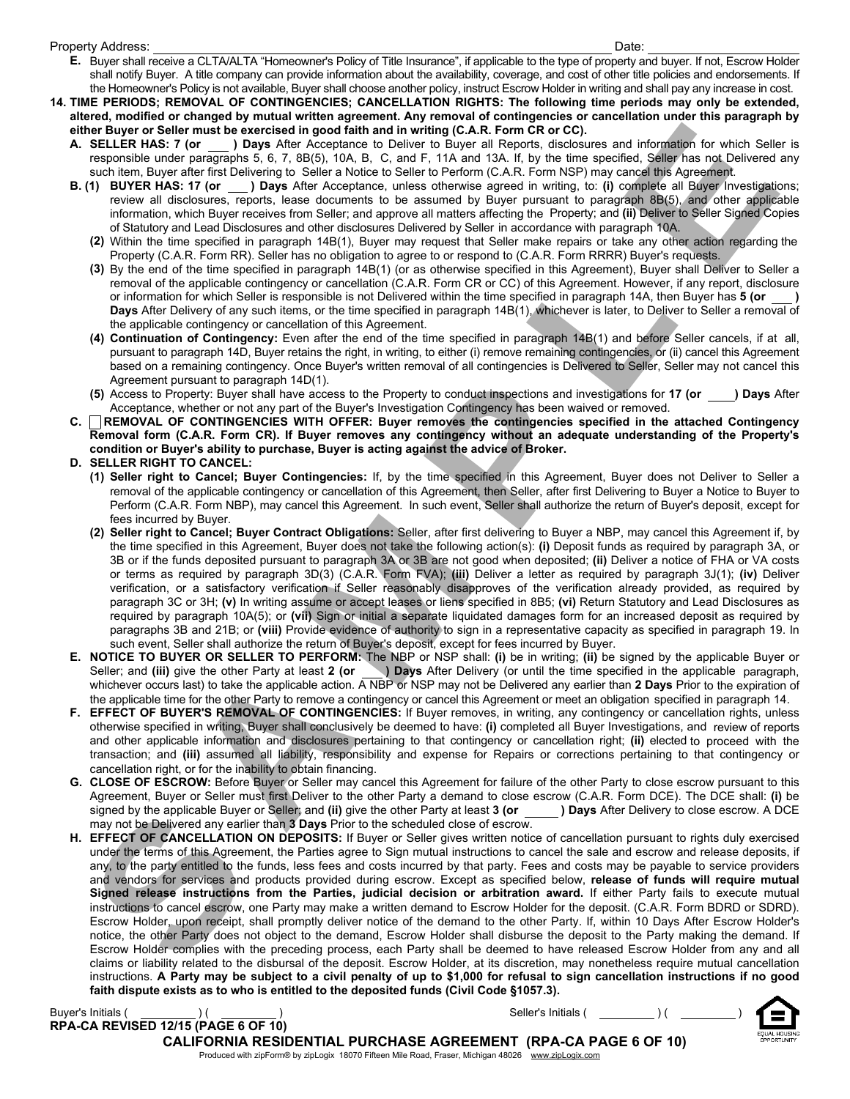- E. Buyer shall receive a CLTA/ALTA "Homeowner's Policy of Title Insurance", if applicable to the type of property and buyer. If not, Escrow Holder shall notify Buyer. A title company can provide information about the availability, coverage, and cost of other title policies and endorsements. If the Homeowner's Policy is not available, Buyer shall choose another policy, instruct Escrow Holder in writing and shall pay any increase in cost.
- 14. TIME PERIODS; REMOVAL OF CONTINGENCIES; CANCELLATION RIGHTS: The following time periods may only be extended, altered, modified or changed by mutual written agreement. Any removal of contingencies or cancellation under this paragraph by either Buyer or Seller must be exercised in good faith and in writing (C.A.R. Form CR or CC).
	- A. SELLER HAS: 7 (or  $\qquad$  ) Days After Acceptance to Deliver to Buyer all Reports, disclosures and information for which Seller is responsible under paragraphs 5, 6, 7, 8B(5), 10A, B, C, and F, 11A and 13A. If, by the time specified, Seller has not Delivered any such item, Buyer after first Delivering to Seller a Notice to Seller to Perform (C.A.R. Form NSP) may cancel this Agreement.
	- B. (1) BUYER HAS: 17 (or ) Days After Acceptance, unless otherwise agreed in writing, to: (i) complete all Buyer Investigations; review all disclosures, reports, lease documents to be assumed by Buyer pursuant to paragraph 8B(5), and other applicable information, which Buyer receives from Seller; and approve all matters affecting the Property; and (ii) Deliver to Seller Signed Copies of Statutory and Lead Disclosures and other disclosures Delivered by Seller in accordance with paragraph 10A.
		- (2) Within the time specified in paragraph 14B(1), Buyer may request that Seller make repairs or take any other action regarding the Property (C.A.R. Form RR). Seller has no obligation to agree to or respond to (C.A.R. Form RRRR) Buyer's requests.
		- (3) By the end of the time specified in paragraph 14B(1) (or as otherwise specified in this Agreement), Buyer shall Deliver to Seller a removal of the applicable contingency or cancellation (C.A.R. Form CR or CC) of this Agreement. However, if any report, disclosure or information for which Seller is responsible is not Delivered within the time specified in paragraph 14A, then Buyer has 5 (or Days After Delivery of any such items, or the time specified in paragraph 14B(1), whichever is later, to Deliver to Seller a removal of the applicable contingency or cancellation of this Agreement.
		- (4) Continuation of Contingency: Even after the end of the time specified in paragraph 14B(1) and before Seller cancels, if at all, pursuant to paragraph 14D, Buyer retains the right, in writing, to either (i) remove remaining contingencies, or (ii) cancel this Agreement based on a remaining contingency. Once Buyer's written removal of all contingencies is Delivered to Seller, Seller may not cancel this Agreement pursuant to paragraph 14D(1).
		- (5) Access to Property: Buyer shall have access to the Property to conduct inspections and investigations for 17 (or ) Days After Acceptance, whether or not any part of the Buyer's Investigation Contingency has been waived or removed.
	- REMOVAL OF CONTINGENCIES WITH OFFER: Buyer removes the contingencies specified in the attached Contingency Removal form (C.A.R. Form CR). If Buyer removes any contingency without an adequate understanding of the Property's condition or Buyer's ability to purchase, Buyer is acting against the advice of Broker.

## D. SELLER RIGHT TO CANCEL:

- (1) Seller right to Cancel; Buyer Contingencies: If, by the time specified in this Agreement, Buyer does not Deliver to Seller a removal of the applicable contingency or cancellation of this Agreement, then Seller, after first Delivering to Buyer a Notice to Buyer to Perform (C.A.R. Form NBP), may cancel this Agreement. In such event, Seller shall authorize the return of Buyer's deposit, except for fees incurred by Buyer.
- (2) Seller right to Cancel; Buyer Contract Obligations: Seller, after first delivering to Buyer a NBP, may cancel this Agreement if, by the time specified in this Agreement, Buyer does not take the following action(s): (i) Deposit funds as required by paragraph 3A, or 3B or if the funds deposited pursuant to paragraph 3A or 3B are not good when deposited; (ii) Deliver a notice of FHA or VA costs or terms as required by paragraph 3D(3) (C.A.R. Form FVA); (iii) Deliver a letter as required by paragraph 3J(1); (iv) Deliver verification, or a satisfactory verification if Seller reasonably disapproves of the verification already provided, as required by paragraph 3C or 3H; (v) In writing assume or accept leases or liens specified in 8B5; (vi) Return Statutory and Lead Disclosures as required by paragraph 10A(5); or (vii) Sign or initial a separate liquidated damages form for an increased deposit as required by paragraphs 3B and 21B; or (viii) Provide evidence of authority to sign in a representative capacity as specified in paragraph 19. In such event, Seller shall authorize the return of Buyer's deposit, except for fees incurred by Buyer.
- E. NOTICE TO BUYER OR SELLER TO PERFORM: The NBP or NSP shall: (i) be in writing; (ii) be signed by the applicable Buyer or Seller; and (iii) give the other Party at least 2 (or ) Days After Delivery (or until the time specified in the applicable paragraph, whichever occurs last) to take the applicable action. A NBP or NSP may not be Delivered any earlier than 2 Days Prior to the expiration of the applicable time for the other Party to remove a contingency or cancel this Agreement or meet an obligation specified in paragraph 14.
- F. EFFECT OF BUYER'S REMOVAL OF CONTINGENCIES: If Buyer removes, in writing, any contingency or cancellation rights, unless otherwise specified in writing, Buyer shall conclusively be deemed to have: (i) completed all Buyer Investigations, and review of reports and other applicable information and disclosures pertaining to that contingency or cancellation right; (ii) elected to proceed with the transaction; and (iii) assumed all liability, responsibility and expense for Repairs or corrections pertaining to that contingency or cancellation right, or for the inability to obtain financing.
- G. CLOSE OF ESCROW: Before Buyer or Seller may cancel this Agreement for failure of the other Party to close escrow pursuant to this Agreement, Buyer or Seller must first Deliver to the other Party a demand to close escrow (C.A.R. Form DCE). The DCE shall: (i) be signed by the applicable Buyer or Seller; and (ii) give the other Party at least 3 (or ) Days After Delivery to close escrow. A DCE may not be Delivered any earlier than 3 Days Prior to the scheduled close of escrow.
- **No the results of the second in good similar and the minimal cost is for the for the Ca Co contract is the results of the results of the second in good similar and the second in good similar and the second in good simila** H. EFFECT OF CANCELLATION ON DEPOSITS: If Buyer or Seller gives written notice of cancellation pursuant to rights duly exercised under the terms of this Agreement, the Parties agree to Sign mutual instructions to cancel the sale and escrow and release deposits, if any, to the party entitled to the funds, less fees and costs incurred by that party. Fees and costs may be payable to service providers and vendors for services and products provided during escrow. Except as specified below, release of funds will require mutual Signed release instructions from the Parties, judicial decision or arbitration award. If either Party fails to execute mutual instructions to cancel escrow, one Party may make a written demand to Escrow Holder for the deposit. (C.A.R. Form BDRD or SDRD). Escrow Holder, upon receipt, shall promptly deliver notice of the demand to the other Party. If, within 10 Days After Escrow Holder's notice, the other Party does not object to the demand, Escrow Holder shall disburse the deposit to the Party making the demand. If Escrow Holder complies with the preceding process, each Party shall be deemed to have released Escrow Holder from any and all claims or liability related to the disbursal of the deposit. Escrow Holder, at its discretion, may nonetheless require mutual cancellation instructions. A Party may be subject to a civil penalty of up to \$1,000 for refusal to sign cancellation instructions if no good faith dispute exists as to who is entitled to the deposited funds (Civil Code §1057.3).



| Buver's Initials (                         | Seller's Initials |  |
|--------------------------------------------|-------------------|--|
| <b>RPA-CA REVISED 12/15 (PAGE 6 OF 10)</b> |                   |  |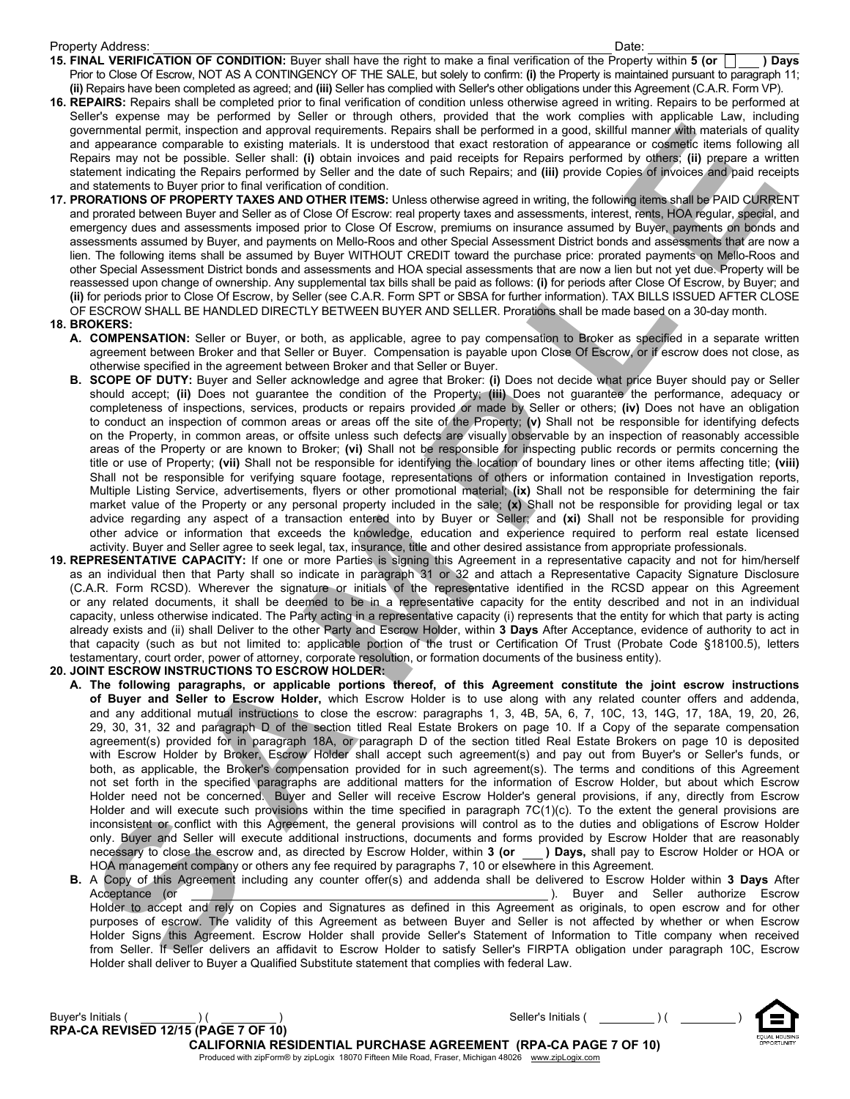- 15. FINAL VERIFICATION OF CONDITION: Buyer shall have the right to make a final verification of the Property within 5 (or ) Days Prior to Close Of Escrow, NOT AS A CONTINGENCY OF THE SALE, but solely to confirm: (i) the Property is maintained pursuant to paragraph 11; (ii) Repairs have been completed as agreed; and (iii) Seller has complied with Seller's other obligations under this Agreement (C.A.R. Form VP).
- 16. REPAIRS: Repairs shall be completed prior to final verification of condition unless otherwise agreed in writing. Repairs to be performed at Seller's expense may be performed by Seller or through others, provided that the work complies with applicable Law, including governmental permit, inspection and approval requirements. Repairs shall be performed in a good, skillful manner with materials of quality and appearance comparable to existing materials. It is understood that exact restoration of appearance or cosmetic items following all Repairs may not be possible. Seller shall: (i) obtain invoices and paid receipts for Repairs performed by others; (ii) prepare a written statement indicating the Repairs performed by Seller and the date of such Repairs; and (iii) provide Copies of invoices and paid receipts and statements to Buyer prior to final verification of condition.
- 17. PRORATIONS OF PROPERTY TAXES AND OTHER ITEMS: Unless otherwise agreed in writing, the following items shall be PAID CURRENT and prorated between Buyer and Seller as of Close Of Escrow: real property taxes and assessments, interest, rents, HOA regular, special, and emergency dues and assessments imposed prior to Close Of Escrow, premiums on insurance assumed by Buyer, payments on bonds and assessments assumed by Buyer, and payments on Mello-Roos and other Special Assessment District bonds and assessments that are now a lien. The following items shall be assumed by Buyer WITHOUT CREDIT toward the purchase price: prorated payments on Mello-Roos and other Special Assessment District bonds and assessments and HOA special assessments that are now a lien but not yet due. Property will be reassessed upon change of ownership. Any supplemental tax bills shall be paid as follows: (i) for periods after Close Of Escrow, by Buyer; and (ii) for periods prior to Close Of Escrow, by Seller (see C.A.R. Form SPT or SBSA for further information). TAX BILLS ISSUED AFTER CLOSE OF ESCROW SHALL BE HANDLED DIRECTLY BETWEEN BUYER AND SELLER. Prorations shall be made based on a 30-day month.
- 18. BROKERS:
	- A. COMPENSATION: Seller or Buyer, or both, as applicable, agree to pay compensation to Broker as specified in a separate written agreement between Broker and that Seller or Buyer. Compensation is payable upon Close Of Escrow, or if escrow does not close, as otherwise specified in the agreement between Broker and that Seller or Buyer.
	- B. SCOPE OF DUTY: Buyer and Seller acknowledge and agree that Broker: (i) Does not decide what price Buyer should pay or Seller should accept; (ii) Does not guarantee the condition of the Property; (iii) Does not guarantee the performance, adequacy or completeness of inspections, services, products or repairs provided or made by Seller or others; (iv) Does not have an obligation to conduct an inspection of common areas or areas off the site of the Property; (v) Shall not be responsible for identifying defects on the Property, in common areas, or offsite unless such defects are visually observable by an inspection of reasonably accessible areas of the Property or are known to Broker; (vi) Shall not be responsible for inspecting public records or permits concerning the title or use of Property; (vii) Shall not be responsible for identifying the location of boundary lines or other items affecting title; (viii) Shall not be responsible for verifying square footage, representations of others or information contained in Investigation reports, Multiple Listing Service, advertisements, flyers or other promotional material; (ix) Shall not be responsible for determining the fair market value of the Property or any personal property included in the sale; (x) Shall not be responsible for providing legal or tax advice regarding any aspect of a transaction entered into by Buyer or Seller; and (xi) Shall not be responsible for providing other advice or information that exceeds the knowledge, education and experience required to perform real estate licensed activity. Buyer and Seller agree to seek legal, tax, insurance, title and other desired assistance from appropriate professionals.
- 19. REPRESENTATIVE CAPACITY: If one or more Parties is signing this Agreement in a representative capacity and not for him/herself as an individual then that Party shall so indicate in paragraph 31 or 32 and attach a Representative Capacity Signature Disclosure (C.A.R. Form RCSD). Wherever the signature or initials of the representative identified in the RCSD appear on this Agreement or any related documents, it shall be deemed to be in a representative capacity for the entity described and not in an individual capacity, unless otherwise indicated. The Party acting in a representative capacity (i) represents that the entity for which that party is acting already exists and (ii) shall Deliver to the other Party and Escrow Holder, within 3 Days After Acceptance, evidence of authority to act in that capacity (such as but not limited to: applicable portion of the trust or Certification Of Trust (Probate Code §18100.5), letters testamentary, court order, power of attorney, corporate resolution, or formation documents of the business entity).
- 20. JOINT ESCROW INSTRUCTIONS TO ESCROW HOLDER:
- For the state of the state of the state of the state of the state of the state of the state of the state of the state of the state of the state of the state of the state of the state of the state of the state of the state A. The following paragraphs, or applicable portions thereof, of this Agreement constitute the joint escrow instructions of Buyer and Seller to Escrow Holder, which Escrow Holder is to use along with any related counter offers and addenda, and any additional mutual instructions to close the escrow: paragraphs 1, 3, 4B, 5A, 6, 7, 10C, 13, 14G, 17, 18A, 19, 20, 26, 29, 30, 31, 32 and paragraph D of the section titled Real Estate Brokers on page 10. If a Copy of the separate compensation agreement(s) provided for in paragraph 18A, or paragraph D of the section titled Real Estate Brokers on page 10 is deposited with Escrow Holder by Broker, Escrow Holder shall accept such agreement(s) and pay out from Buyer's or Seller's funds, or both, as applicable, the Broker's compensation provided for in such agreement(s). The terms and conditions of this Agreement not set forth in the specified paragraphs are additional matters for the information of Escrow Holder, but about which Escrow Holder need not be concerned. Buyer and Seller will receive Escrow Holder's general provisions, if any, directly from Escrow Holder and will execute such provisions within the time specified in paragraph 7C(1)(c). To the extent the general provisions are inconsistent or conflict with this Agreement, the general provisions will control as to the duties and obligations of Escrow Holder only. Buyer and Seller will execute additional instructions, documents and forms provided by Escrow Holder that are reasonably necessary to close the escrow and, as directed by Escrow Holder, within 3 (or  $\_\_$ ) Days, shall pay to Escrow Holder or HOA or HOA management company or others any fee required by paragraphs 7, 10 or elsewhere in this Agreement.
	- B. A Copy of this Agreement including any counter offer(s) and addenda shall be delivered to Escrow Holder within 3 Days After Acceptance (or **)** and  $\overline{a}$  Escrow **Acceptance (or**  $\overline{b}$  Escrow ). Buyer and Seller authorize Escrow Holder to accept and rely on Copies and Signatures as defined in this Agreement as originals, to open escrow and for other purposes of escrow. The validity of this Agreement as between Buyer and Seller is not affected by whether or when Escrow Holder Signs this Agreement. Escrow Holder shall provide Seller's Statement of Information to Title company when received from Seller. If Seller delivers an affidavit to Escrow Holder to satisfy Seller's FIRPTA obligation under paragraph 10C, Escrow Holder shall deliver to Buyer a Qualified Substitute statement that complies with federal Law.

Buyer's Initials ( ) ( ) Seller's Initials ( ) ( ) RPA-CA REVISED 12/15 (PAGE 7 OF 10)

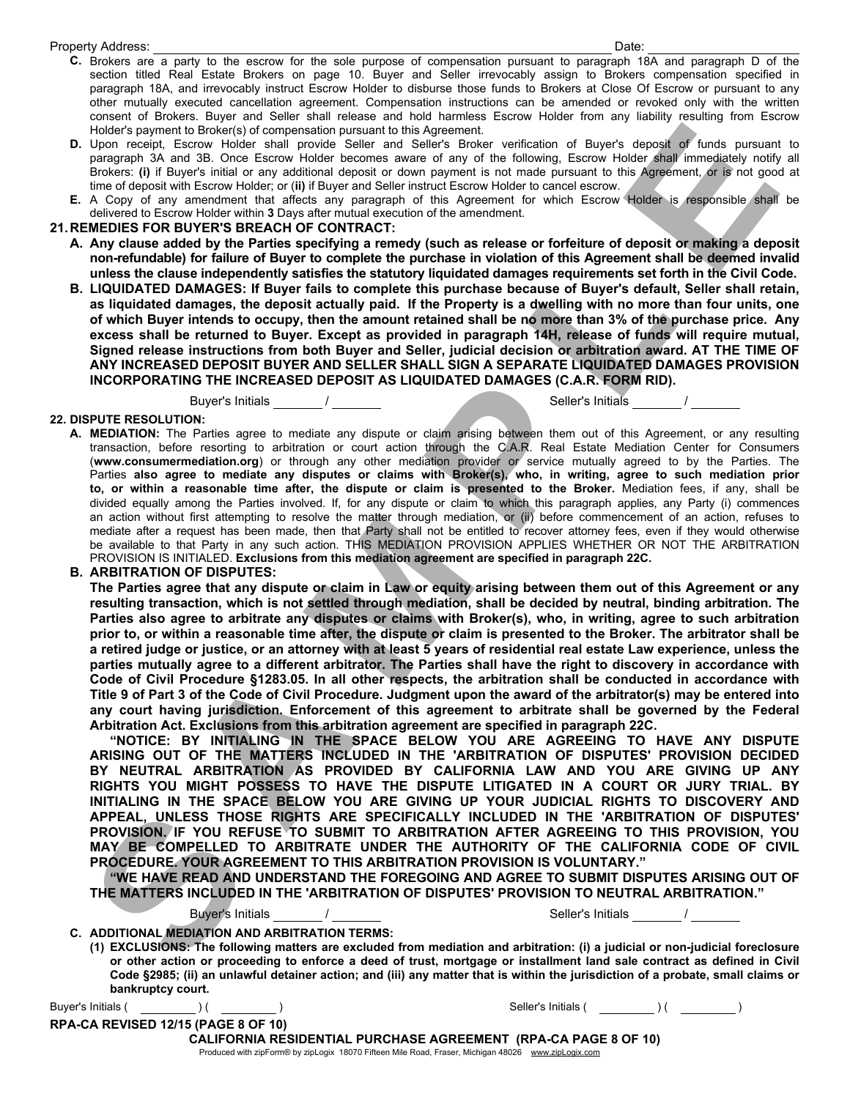- C. Brokers are a party to the escrow for the sole purpose of compensation pursuant to paragraph 18A and paragraph D of the section titled Real Estate Brokers on page 10. Buyer and Seller irrevocably assign to Brokers compensation specified in paragraph 18A, and irrevocably instruct Escrow Holder to disburse those funds to Brokers at Close Of Escrow or pursuant to any other mutually executed cancellation agreement. Compensation instructions can be amended or revoked only with the written consent of Brokers. Buyer and Seller shall release and hold harmless Escrow Holder from any liability resulting from Escrow Holder's payment to Broker(s) of compensation pursuant to this Agreement.
- D. Upon receipt, Escrow Holder shall provide Seller and Seller's Broker verification of Buyer's deposit of funds pursuant to paragraph 3A and 3B. Once Escrow Holder becomes aware of any of the following, Escrow Holder shall immediately notify all Brokers: (i) if Buyer's initial or any additional deposit or down payment is not made pursuant to this Agreement, or is not good at time of deposit with Escrow Holder; or (ii) if Buyer and Seller instruct Escrow Holder to cancel escrow.
- E. A Copy of any amendment that affects any paragraph of this Agreement for which Escrow Holder is responsible shall be delivered to Escrow Holder within 3 Days after mutual execution of the amendment.

#### 21.REMEDIES FOR BUYER'S BREACH OF CONTRACT:

- A. Any clause added by the Parties specifying a remedy (such as release or forfeiture of deposit or making a deposit non-refundable) for failure of Buyer to complete the purchase in violation of this Agreement shall be deemed invalid unless the clause independently satisfies the statutory liquidated damages requirements set forth in the Civil Code.
- B. LIQUIDATED DAMAGES: If Buyer fails to complete this purchase because of Buyer's default, Seller shall retain, as liquidated damages, the deposit actually paid. If the Property is a dwelling with no more than four units, one of which Buyer intends to occupy, then the amount retained shall be no more than 3% of the purchase price. Any excess shall be returned to Buyer. Except as provided in paragraph 14H, release of funds will require mutual, Signed release instructions from both Buyer and Seller, judicial decision or arbitration award. AT THE TIME OF ANY INCREASED DEPOSIT BUYER AND SELLER SHALL SIGN A SEPARATE LIQUIDATED DAMAGES PROVISION INCORPORATING THE INCREASED DEPOSIT AS LIQUIDATED DAMAGES (C.A.R. FORM RID).

Buyer's Initials / Seller's Initials / Seller's Initials / Seller's Initials / Seller's Initials / Seller's Initials / Seller's Initials / Seller's Initials / Seller's Initials / Seller's Initials / Seller's Initials / Sel

### 22. DISPUTE RESOLUTION:

A. MEDIATION: The Parties agree to mediate any dispute or claim arising between them out of this Agreement, or any resulting transaction, before resorting to arbitration or court action through the C.A.R. Real Estate Mediation Center for Consumers (www.consumermediation.org) or through any other mediation provider or service mutually agreed to by the Parties. The Parties also agree to mediate any disputes or claims with Broker(s), who, in writing, agree to such mediation prior to, or within a reasonable time after, the dispute or claim is presented to the Broker. Mediation fees, if any, shall be divided equally among the Parties involved. If, for any dispute or claim to which this paragraph applies, any Party (i) commences an action without first attempting to resolve the matter through mediation, or (ii) before commencement of an action, refuses to mediate after a request has been made, then that Party shall not be entitled to recover attorney fees, even if they would otherwise be available to that Party in any such action. THIS MEDIATION PROVISION APPLIES WHETHER OR NOT THE ARBITRATION PROVISION IS INITIALED. Exclusions from this mediation agreement are specified in paragraph 22C.

### B. ARBITRATION OF DISPUTES:

Note payamin Roomey and payaming harmonic payaming harmonic the agree of the state in the state in the state in the state in the state in the state in the state in the state in the state in the state in the state in the s The Parties agree that any dispute or claim in Law or equity arising between them out of this Agreement or any resulting transaction, which is not settled through mediation, shall be decided by neutral, binding arbitration. The Parties also agree to arbitrate any disputes or claims with Broker(s), who, in writing, agree to such arbitration prior to, or within a reasonable time after, the dispute or claim is presented to the Broker. The arbitrator shall be a retired judge or justice, or an attorney with at least 5 years of residential real estate Law experience, unless the parties mutually agree to a different arbitrator. The Parties shall have the right to discovery in accordance with Code of Civil Procedure §1283.05. In all other respects, the arbitration shall be conducted in accordance with Title 9 of Part 3 of the Code of Civil Procedure. Judgment upon the award of the arbitrator(s) may be entered into any court having jurisdiction. Enforcement of this agreement to arbitrate shall be governed by the Federal Arbitration Act. Exclusions from this arbitration agreement are specified in paragraph 22C.

"NOTICE: BY INITIALING IN THE SPACE BELOW YOU ARE AGREEING TO HAVE ANY DISPUTE ARISING OUT OF THE MATTERS INCLUDED IN THE 'ARBITRATION OF DISPUTES' PROVISION DECIDED BY NEUTRAL ARBITRATION AS PROVIDED BY CALIFORNIA LAW AND YOU ARE GIVING UP ANY RIGHTS YOU MIGHT POSSESS TO HAVE THE DISPUTE LITIGATED IN A COURT OR JURY TRIAL. BY INITIALING IN THE SPACE BELOW YOU ARE GIVING UP YOUR JUDICIAL RIGHTS TO DISCOVERY AND APPEAL, UNLESS THOSE RIGHTS ARE SPECIFICALLY INCLUDED IN THE 'ARBITRATION OF DISPUTES' PROVISION. IF YOU REFUSE TO SUBMIT TO ARBITRATION AFTER AGREEING TO THIS PROVISION, YOU MAY BE COMPELLED TO ARBITRATE UNDER THE AUTHORITY OF THE CALIFORNIA CODE OF CIVIL PROCEDURE. YOUR AGREEMENT TO THIS ARBITRATION PROVISION IS VOLUNTARY."

"WE HAVE READ AND UNDERSTAND THE FOREGOING AND AGREE TO SUBMIT DISPUTES ARISING OUT OF THE MATTERS INCLUDED IN THE 'ARBITRATION OF DISPUTES' PROVISION TO NEUTRAL ARBITRATION."

| Buver's Initials |  |
|------------------|--|
|                  |  |

Buyer's Initials / Seller's Initials / Seller's Initials / Seller's Initials / Seller's Initials / Seller's Initials / Seller's Initials / Seller's Initials / Seller's Initials / Seller's Initials / Seller's Initials / Sel

C. ADDITIONAL MEDIATION AND ARBITRATION TERMS:

(1) EXCLUSIONS: The following matters are excluded from mediation and arbitration: (i) a judicial or non-judicial foreclosure or other action or proceeding to enforce a deed of trust, mortgage or installment land sale contract as defined in Civil Code §2985; (ii) an unlawful detainer action; and (iii) any matter that is within the jurisdiction of a probate, small claims or bankruptcy court.

Buyer's Initials ( <u>\_\_\_\_\_\_\_\_</u> ) ( \_\_\_\_\_\_\_ ) ( \_\_\_\_\_\_\_ ) Seller's Initials ( \_\_\_\_\_\_\_ ) ( \_\_\_\_\_\_\_ )

RPA-CA REVISED 12/15 (PAGE 8 OF 10)

CALIFORNIA RESIDENTIAL PURCHASE AGREEMENT (RPA-CA PAGE 8 OF 10) Produced with zipForm® by zipLogix 18070 Fifteen Mile Road, Fraser, Michigan 48026 www.zipLogix.com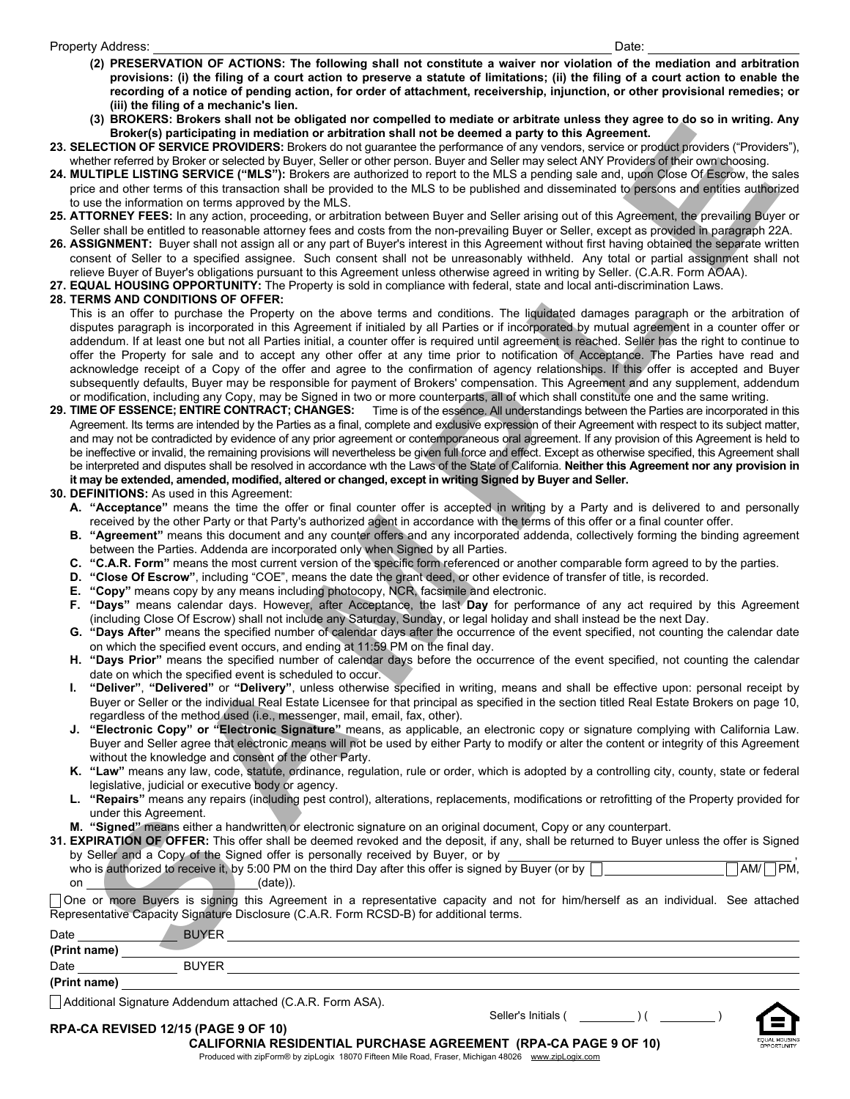- (2) PRESERVATION OF ACTIONS: The following shall not constitute a waiver nor violation of the mediation and arbitration provisions: (i) the filing of a court action to preserve a statute of limitations; (ii) the filing of a court action to enable the recording of a notice of pending action, for order of attachment, receivership, injunction, or other provisional remedies; or (iii) the filing of a mechanic's lien.
- (3) BROKERS: Brokers shall not be obligated nor compelled to mediate or arbitrate unless they agree to do so in writing. Any Broker(s) participating in mediation or arbitration shall not be deemed a party to this Agreement.
- 23. SELECTION OF SERVICE PROVIDERS: Brokers do not guarantee the performance of any vendors, service or product providers ("Providers"), whether referred by Broker or selected by Buyer, Seller or other person. Buyer and Seller may select ANY Providers of their own choosing.
- 24. MULTIPLE LISTING SERVICE ("MLS"): Brokers are authorized to report to the MLS a pending sale and, upon Close Of Escrow, the sales price and other terms of this transaction shall be provided to the MLS to be published and disseminated to persons and entities authorized to use the information on terms approved by the MLS.
- 25. ATTORNEY FEES: In any action, proceeding, or arbitration between Buyer and Seller arising out of this Agreement, the prevailing Buyer or Seller shall be entitled to reasonable attorney fees and costs from the non-prevailing Buyer or Seller, except as provided in paragraph 22A.
- 26. ASSIGNMENT: Buyer shall not assign all or any part of Buyer's interest in this Agreement without first having obtained the separate written consent of Seller to a specified assignee. Such consent shall not be unreasonably withheld. Any total or partial assignment shall not relieve Buyer of Buyer's obligations pursuant to this Agreement unless otherwise agreed in writing by Seller. (C.A.R. Form AOAA).
- 27. EQUAL HOUSING OPPORTUNITY: The Property is sold in compliance with federal, state and local anti-discrimination Laws.

### 28. TERMS AND CONDITIONS OF OFFER:

**S BENARD INTERFERICATION The END INTERFERICANT INTERFERICANT CONTROLLER CONTROLLER CONTROLLER CONTROLLER CONTROLLER CONTROLLER CONTROLLER CONTROLLER CONTROLLER CONTROLLER CONTROLLER CONTROLLER CONTROLLER CONTROLLER CON** This is an offer to purchase the Property on the above terms and conditions. The liquidated damages paragraph or the arbitration of disputes paragraph is incorporated in this Agreement if initialed by all Parties or if incorporated by mutual agreement in a counter offer or addendum. If at least one but not all Parties initial, a counter offer is required until agreement is reached. Seller has the right to continue to offer the Property for sale and to accept any other offer at any time prior to notification of Acceptance. The Parties have read and acknowledge receipt of a Copy of the offer and agree to the confirmation of agency relationships. If this offer is accepted and Buyer subsequently defaults, Buyer may be responsible for payment of Brokers' compensation. This Agreement and any supplement, addendum or modification, including any Copy, may be Signed in two or more counterparts, all of which shall constitute one and the same writing.

- 29. TIME OF ESSENCE; ENTIRE CONTRACT; CHANGES: Time is of the essence. All understandings between the Parties are incorporated in this Agreement. Its terms are intended by the Parties as a final, complete and exclusive expression of their Agreement with respect to its subject matter, and may not be contradicted by evidence of any prior agreement or contemporaneous oral agreement. If any provision of this Agreement is held to be ineffective or invalid, the remaining provisions will nevertheless be given full force and effect. Except as otherwise specified, this Agreement shall be interpreted and disputes shall be resolved in accordance wth the Laws of the State of California. Neither this Agreement nor any provision in it may be extended, amended, modified, altered or changed, except in writing Signed by Buyer and Seller.
- 30. DEFINITIONS: As used in this Agreement:
	- A. "Acceptance" means the time the offer or final counter offer is accepted in writing by a Party and is delivered to and personally received by the other Party or that Party's authorized agent in accordance with the terms of this offer or a final counter offer.
	- B. "Agreement" means this document and any counter offers and any incorporated addenda, collectively forming the binding agreement between the Parties. Addenda are incorporated only when Signed by all Parties.
	- C. "C.A.R. Form" means the most current version of the specific form referenced or another comparable form agreed to by the parties.
	- D. "Close Of Escrow", including "COE", means the date the grant deed, or other evidence of transfer of title, is recorded.
	- E. "Copy" means copy by any means including photocopy, NCR, facsimile and electronic.
	- F. "Days" means calendar days. However, after Acceptance, the last Day for performance of any act required by this Agreement (including Close Of Escrow) shall not include any Saturday, Sunday, or legal holiday and shall instead be the next Day.
	- G. "Days After" means the specified number of calendar days after the occurrence of the event specified, not counting the calendar date on which the specified event occurs, and ending at 11:59 PM on the final day.
	- H. "Days Prior" means the specified number of calendar days before the occurrence of the event specified, not counting the calendar date on which the specified event is scheduled to occur.
	- "Deliver", "Delivered" or "Delivery", unless otherwise specified in writing, means and shall be effective upon: personal receipt by Buyer or Seller or the individual Real Estate Licensee for that principal as specified in the section titled Real Estate Brokers on page 10, regardless of the method used (i.e., messenger, mail, email, fax, other).
	- J. "Electronic Copy" or "Electronic Signature" means, as applicable, an electronic copy or signature complying with California Law. Buyer and Seller agree that electronic means will not be used by either Party to modify or alter the content or integrity of this Agreement without the knowledge and consent of the other Party.
	- K. "Law" means any law, code, statute, ordinance, regulation, rule or order, which is adopted by a controlling city, county, state or federal legislative, judicial or executive body or agency.
	- L. "Repairs" means any repairs (including pest control), alterations, replacements, modifications or retrofitting of the Property provided for under this Agreement.
	- M. "Signed" means either a handwritten or electronic signature on an original document, Copy or any counterpart.

| 31. EXPIRATION OF OFFER: This offer shall be deemed revoked and the deposit, if any, shall be returned to Buyer unless the offer is Signed |                  |  |
|--------------------------------------------------------------------------------------------------------------------------------------------|------------------|--|
| by Seller and a Copy of the Signed offer is personally received by Buyer, or by                                                            | . <del>. .</del> |  |

|    | who is authorized to receive it, by 5:00 PM on the third Day after this offer is signed by Buyer (or by | 'PM.<br>AM/ |
|----|---------------------------------------------------------------------------------------------------------|-------------|
| on | (date)                                                                                                  |             |

 One or more Buyers is signing this Agreement in a representative capacity and not for him/herself as an individual. See attached Representative Capacity Signature Disclosure (C.A.R. Form RCSD-B) for additional terms.

| Date         | <b>BUYER</b> |  |
|--------------|--------------|--|
| (Print name) |              |  |
| Date         | <b>BUYER</b> |  |
| (Print name) |              |  |
|              |              |  |

Additional Signature Addendum attached (C.A.R. Form ASA).

Seller's Initials ( <u>\_\_\_\_\_\_\_\_</u> ) ( \_\_\_\_\_\_\_\_ )

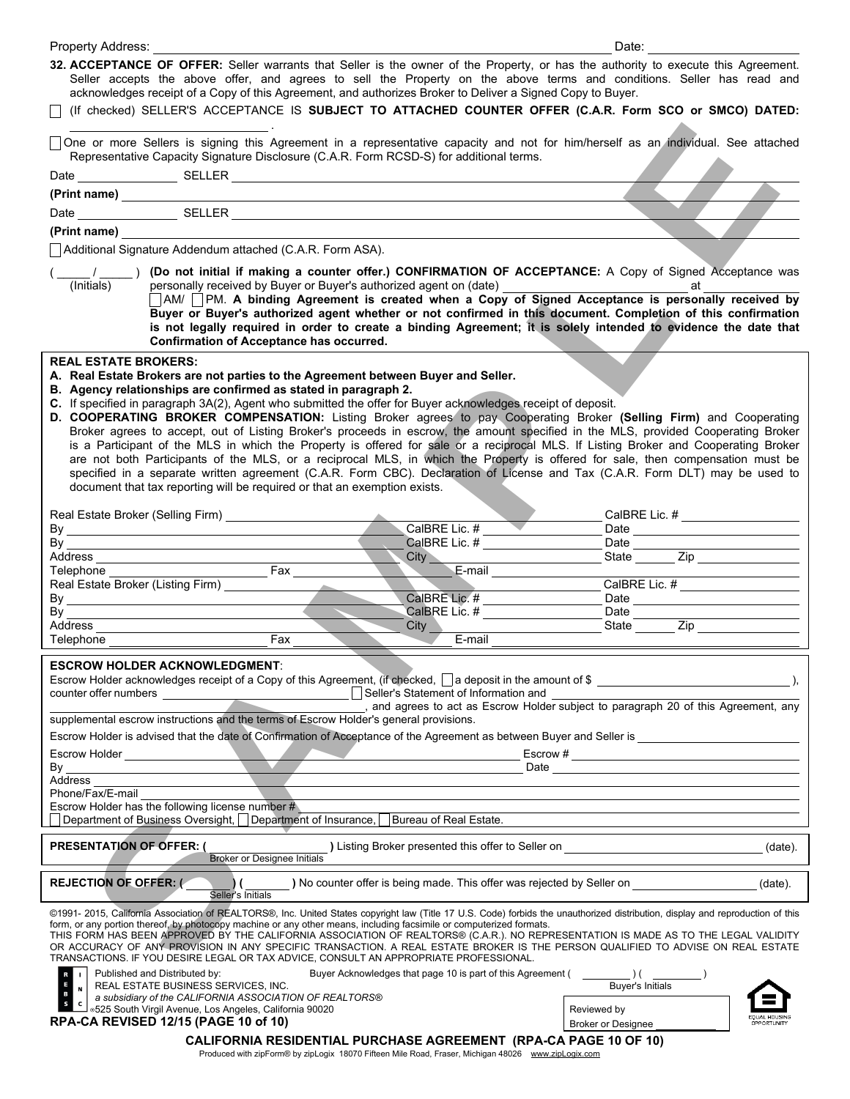32. ACCEPTANCE OF OFFER: Seller warrants that Seller is the owner of the Property, or has the authority to execute this Agreement. Seller accepts the above offer, and agrees to sell the Property on the above terms and conditions. Seller has read and acknowledges receipt of a Copy of this Agreement, and authorizes Broker to Deliver a Signed Copy to Buyer.

#### $\Box$  (If checked) SELLER'S ACCEPTANCE IS SUBJECT TO ATTACHED COUNTER OFFER (C.A.R. Form SCO or SMCO) DATED:

|                                                                                                                                                               |                                                                                                                                                                                                                                |     | One or more Sellers is signing this Agreement in a representative capacity and not for him/herself as an individual. See attached<br>Representative Capacity Signature Disclosure (C.A.R. Form RCSD-S) for additional terms.                                                                                                                                                                                                                                                                                                                                                                                                                                                                                                                                                                                                                                           |                         |                                    |
|---------------------------------------------------------------------------------------------------------------------------------------------------------------|--------------------------------------------------------------------------------------------------------------------------------------------------------------------------------------------------------------------------------|-----|------------------------------------------------------------------------------------------------------------------------------------------------------------------------------------------------------------------------------------------------------------------------------------------------------------------------------------------------------------------------------------------------------------------------------------------------------------------------------------------------------------------------------------------------------------------------------------------------------------------------------------------------------------------------------------------------------------------------------------------------------------------------------------------------------------------------------------------------------------------------|-------------------------|------------------------------------|
|                                                                                                                                                               |                                                                                                                                                                                                                                |     |                                                                                                                                                                                                                                                                                                                                                                                                                                                                                                                                                                                                                                                                                                                                                                                                                                                                        |                         |                                    |
|                                                                                                                                                               |                                                                                                                                                                                                                                |     | (Print name)                                                                                                                                                                                                                                                                                                                                                                                                                                                                                                                                                                                                                                                                                                                                                                                                                                                           |                         |                                    |
|                                                                                                                                                               |                                                                                                                                                                                                                                |     |                                                                                                                                                                                                                                                                                                                                                                                                                                                                                                                                                                                                                                                                                                                                                                                                                                                                        |                         |                                    |
|                                                                                                                                                               |                                                                                                                                                                                                                                |     |                                                                                                                                                                                                                                                                                                                                                                                                                                                                                                                                                                                                                                                                                                                                                                                                                                                                        |                         |                                    |
|                                                                                                                                                               |                                                                                                                                                                                                                                |     |                                                                                                                                                                                                                                                                                                                                                                                                                                                                                                                                                                                                                                                                                                                                                                                                                                                                        |                         |                                    |
|                                                                                                                                                               | Additional Signature Addendum attached (C.A.R. Form ASA).                                                                                                                                                                      |     |                                                                                                                                                                                                                                                                                                                                                                                                                                                                                                                                                                                                                                                                                                                                                                                                                                                                        |                         |                                    |
| (Initials)                                                                                                                                                    | Confirmation of Acceptance has occurred.                                                                                                                                                                                       |     | (Do not initial if making a counter offer.) CONFIRMATION OF ACCEPTANCE: A Copy of Signed Acceptance was<br>personally received by Buyer or Buyer's authorized agent on (date)<br>AM/ PM. A binding Agreement is created when a Copy of Signed Acceptance is personally received by<br>Buyer or Buyer's authorized agent whether or not confirmed in this document. Completion of this confirmation<br>is not legally required in order to create a binding Agreement; it is solely intended to evidence the date that                                                                                                                                                                                                                                                                                                                                                  |                         |                                    |
| <b>REAL ESTATE BROKERS:</b>                                                                                                                                   |                                                                                                                                                                                                                                |     |                                                                                                                                                                                                                                                                                                                                                                                                                                                                                                                                                                                                                                                                                                                                                                                                                                                                        |                         |                                    |
|                                                                                                                                                               | B. Agency relationships are confirmed as stated in paragraph 2.<br>document that tax reporting will be required or that an exemption exists.                                                                                   |     | A. Real Estate Brokers are not parties to the Agreement between Buyer and Seller.<br>C. If specified in paragraph 3A(2), Agent who submitted the offer for Buyer acknowledges receipt of deposit.<br>D. COOPERATING BROKER COMPENSATION: Listing Broker agrees to pay Cooperating Broker (Selling Firm) and Cooperating<br>Broker agrees to accept, out of Listing Broker's proceeds in escrow, the amount specified in the MLS, provided Cooperating Broker<br>is a Participant of the MLS in which the Property is offered for sale or a reciprocal MLS. If Listing Broker and Cooperating Broker<br>are not both Participants of the MLS, or a reciprocal MLS, in which the Property is offered for sale, then compensation must be<br>specified in a separate written agreement (C.A.R. Form CBC). Declaration of License and Tax (C.A.R. Form DLT) may be used to |                         |                                    |
|                                                                                                                                                               |                                                                                                                                                                                                                                |     |                                                                                                                                                                                                                                                                                                                                                                                                                                                                                                                                                                                                                                                                                                                                                                                                                                                                        |                         |                                    |
|                                                                                                                                                               |                                                                                                                                                                                                                                |     |                                                                                                                                                                                                                                                                                                                                                                                                                                                                                                                                                                                                                                                                                                                                                                                                                                                                        |                         | CalBRE Lic. # ____________________ |
|                                                                                                                                                               |                                                                                                                                                                                                                                |     | CalBRE Lic. $\#$                                                                                                                                                                                                                                                                                                                                                                                                                                                                                                                                                                                                                                                                                                                                                                                                                                                       |                         |                                    |
|                                                                                                                                                               | By the contract of the contract of the contract of the contract of the contract of the contract of the contract of the contract of the contract of the contract of the contract of the contract of the contract of the contrac |     |                                                                                                                                                                                                                                                                                                                                                                                                                                                                                                                                                                                                                                                                                                                                                                                                                                                                        |                         |                                    |
|                                                                                                                                                               |                                                                                                                                                                                                                                |     |                                                                                                                                                                                                                                                                                                                                                                                                                                                                                                                                                                                                                                                                                                                                                                                                                                                                        |                         |                                    |
|                                                                                                                                                               |                                                                                                                                                                                                                                |     |                                                                                                                                                                                                                                                                                                                                                                                                                                                                                                                                                                                                                                                                                                                                                                                                                                                                        |                         | CalBRE Lic. # ___________________  |
|                                                                                                                                                               |                                                                                                                                                                                                                                |     | CalBRE Lic. #                                                                                                                                                                                                                                                                                                                                                                                                                                                                                                                                                                                                                                                                                                                                                                                                                                                          |                         |                                    |
|                                                                                                                                                               |                                                                                                                                                                                                                                |     | CalBRE Lic. # $\frac{1}{\sqrt{2}}$                                                                                                                                                                                                                                                                                                                                                                                                                                                                                                                                                                                                                                                                                                                                                                                                                                     |                         |                                    |
|                                                                                                                                                               |                                                                                                                                                                                                                                |     |                                                                                                                                                                                                                                                                                                                                                                                                                                                                                                                                                                                                                                                                                                                                                                                                                                                                        |                         |                                    |
|                                                                                                                                                               |                                                                                                                                                                                                                                |     | City                                                                                                                                                                                                                                                                                                                                                                                                                                                                                                                                                                                                                                                                                                                                                                                                                                                                   | State Zip               |                                    |
| $By_$<br>Telephone _____                                                                                                                                      |                                                                                                                                                                                                                                | Fax | E-mail                                                                                                                                                                                                                                                                                                                                                                                                                                                                                                                                                                                                                                                                                                                                                                                                                                                                 |                         |                                    |
|                                                                                                                                                               | <b>ESCROW HOLDER ACKNOWLEDGMENT:</b><br>supplemental escrow instructions and the terms of Escrow Holder's general provisions.                                                                                                  |     | Escrow Holder acknowledges receipt of a Copy of this Agreement, (if checked, a deposit in the amount of \$<br>counter offer numbers Seller's Statement of Information and Counter offer numbers and Counter offer numbers and agrees to act as Escrow Holder subject to paragraph 20 of this Agreement, any<br>Escrow Holder is advised that the date of Confirmation of Acceptance of the Agreement as between Buyer and Seller is                                                                                                                                                                                                                                                                                                                                                                                                                                    |                         |                                    |
|                                                                                                                                                               |                                                                                                                                                                                                                                |     |                                                                                                                                                                                                                                                                                                                                                                                                                                                                                                                                                                                                                                                                                                                                                                                                                                                                        |                         |                                    |
|                                                                                                                                                               |                                                                                                                                                                                                                                |     |                                                                                                                                                                                                                                                                                                                                                                                                                                                                                                                                                                                                                                                                                                                                                                                                                                                                        | Date                    |                                    |
|                                                                                                                                                               |                                                                                                                                                                                                                                |     |                                                                                                                                                                                                                                                                                                                                                                                                                                                                                                                                                                                                                                                                                                                                                                                                                                                                        |                         |                                    |
|                                                                                                                                                               |                                                                                                                                                                                                                                |     |                                                                                                                                                                                                                                                                                                                                                                                                                                                                                                                                                                                                                                                                                                                                                                                                                                                                        |                         |                                    |
|                                                                                                                                                               | Escrow Holder has the following license number #<br>Department of Business Oversight. □ Department of Insurance. □                                                                                                             |     | Bureau of Real Estate.                                                                                                                                                                                                                                                                                                                                                                                                                                                                                                                                                                                                                                                                                                                                                                                                                                                 |                         |                                    |
|                                                                                                                                                               | <b>Broker or Designee Initials</b>                                                                                                                                                                                             |     | ) Listing Broker presented this offer to Seller on                                                                                                                                                                                                                                                                                                                                                                                                                                                                                                                                                                                                                                                                                                                                                                                                                     |                         | (date).                            |
|                                                                                                                                                               | $\mathbf{C}$<br>Seller's Initials                                                                                                                                                                                              |     | ) No counter offer is being made. This offer was rejected by Seller on                                                                                                                                                                                                                                                                                                                                                                                                                                                                                                                                                                                                                                                                                                                                                                                                 |                         | (date).                            |
|                                                                                                                                                               |                                                                                                                                                                                                                                |     | ©1991- 2015, California Association of REALTORS®, Inc. United States copyright law (Title 17 U.S. Code) forbids the unauthorized distribution, display and reproduction of this<br>form, or any portion thereof, by photocopy machine or any other means, including facsimile or computerized formats.<br>THIS FORM HAS BEEN APPROVED BY THE CALIFORNIA ASSOCIATION OF REALTORS® (C.A.R.). NO REPRESENTATION IS MADE AS TO THE LEGAL VALIDITY<br>OR ACCURACY OF ANY PROVISION IN ANY SPECIFIC TRANSACTION. A REAL ESTATE BROKER IS THE PERSON QUALIFIED TO ADVISE ON REAL ESTATE<br>TRANSACTIONS. IF YOU DESIRE LEGAL OR TAX ADVICE, CONSULT AN APPROPRIATE PROFESSIONAL.                                                                                                                                                                                              |                         |                                    |
| $\mathbf{I}$                                                                                                                                                  | Published and Distributed by:                                                                                                                                                                                                  |     | Buyer Acknowledges that page 10 is part of this Agreement ( ____                                                                                                                                                                                                                                                                                                                                                                                                                                                                                                                                                                                                                                                                                                                                                                                                       | $\bigcup$               |                                    |
| Escrow Holder<br>By<br>Address<br>Phone/Fax/E-mail<br><b>PRESENTATION OF OFFER: (</b><br><b>REJECTION OF OFFER:</b><br>$\, {\bf R}$<br>$\mathbf{E}$<br>$\,$ B | REAL ESTATE BUSINESS SERVICES, INC.                                                                                                                                                                                            |     |                                                                                                                                                                                                                                                                                                                                                                                                                                                                                                                                                                                                                                                                                                                                                                                                                                                                        | <b>Buyer's Initials</b> |                                    |
|                                                                                                                                                               | a subsidiary of the CALIFORNIA ASSOCIATION OF REALTORS®<br>⊕525 South Virgil Avenue, Los Angeles, California 90020<br>RPA-CA REVISED 12/15 (PAGE 10 of 10)                                                                     |     |                                                                                                                                                                                                                                                                                                                                                                                                                                                                                                                                                                                                                                                                                                                                                                                                                                                                        | Reviewed by             | EOUAL HOUSING                      |